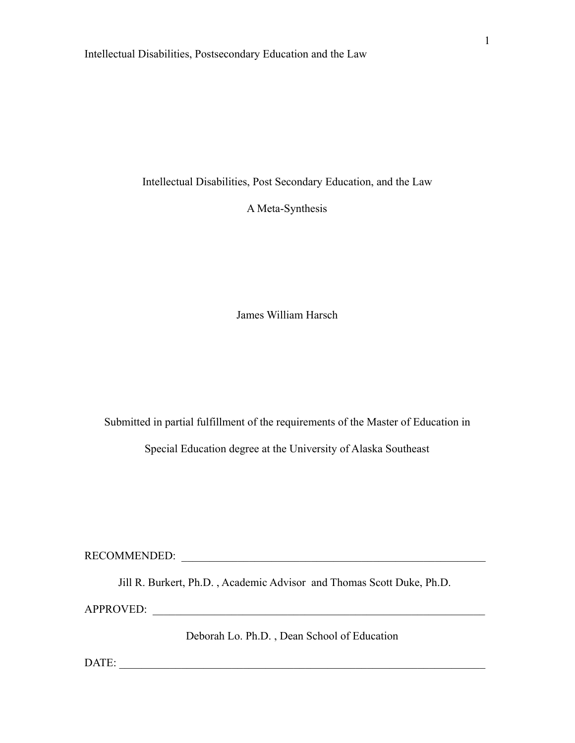A Meta-Synthesis

James William Harsch

Submitted in partial fulfillment of the requirements of the Master of Education in

Special Education degree at the University of Alaska Southeast

RECOMMENDED: \_\_\_\_\_\_\_\_\_\_\_\_\_\_\_\_\_\_\_\_\_\_\_\_\_\_\_\_\_\_\_\_\_\_\_\_\_\_\_\_\_\_\_\_\_\_\_\_\_\_\_\_\_\_

Jill R. Burkert, Ph.D. , Academic Advisor and Thomas Scott Duke, Ph.D.

APPROVED:

Deborah Lo. Ph.D. , Dean School of Education

DATE: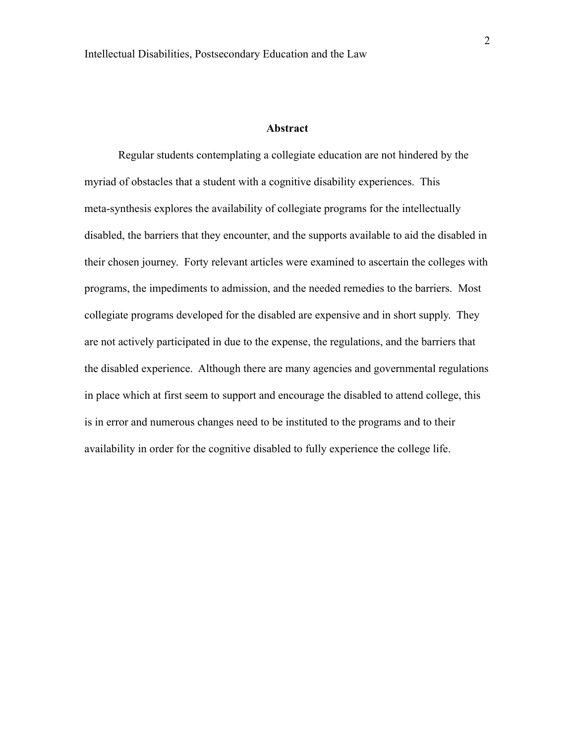#### **Abstract**

Regular students contemplating a collegiate education are not hindered by the myriad of obstacles that a student with a cognitive disability experiences. This meta-synthesis explores the availability of collegiate programs for the intellectually disabled, the barriers that they encounter, and the supports available to aid the disabled in their chosen journey. Forty relevant articles were examined to ascertain the colleges with programs, the impediments to admission, and the needed remedies to the barriers. Most collegiate programs developed for the disabled are expensive and in short supply. They are not actively participated in due to the expense, the regulations, and the barriers that the disabled experience. Although there are many agencies and governmental regulations in place which at first seem to support and encourage the disabled to attend college, this is in error and numerous changes need to be instituted to the programs and to their availability in order for the cognitive disabled to fully experience the college life.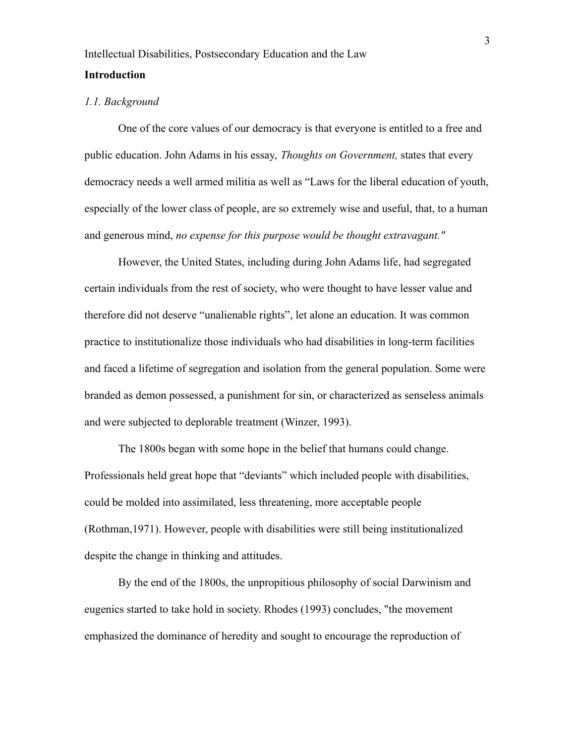#### *1.1. Background*

One of the core values of our democracy is that everyone is entitled to a free and public education. John Adams in his essay, *Thoughts on Government,* states that every democracy needs a well armed militia as well as "Laws for the liberal education of youth, especially of the lower class of people, are so extremely wise and useful, that, to a human and generous mind, *no expense for this purpose would be thought extravagant."*

However, the United States, including during John Adams life, had segregated certain individuals from the rest of society, who were thought to have lesser value and therefore did not deserve "unalienable rights", let alone an education. It was common practice to institutionalize those individuals who had disabilities in long-term facilities and faced a lifetime of segregation and isolation from the general population. Some were branded as demon possessed, a punishment for sin, or characterized as senseless animals and were subjected to deplorable treatment (Winzer, 1993).

The 1800s began with some hope in the belief that humans could change. Professionals held great hope that "deviants" which included people with disabilities, could be molded into assimilated, less threatening, more acceptable people (Rothman,1971). However, people with disabilities were still being institutionalized despite the change in thinking and attitudes.

By the end of the 1800s, the unpropitious philosophy of social Darwinism and eugenics started to take hold in society. Rhodes (1993) concludes, "the movement emphasized the dominance of heredity and sought to encourage the reproduction of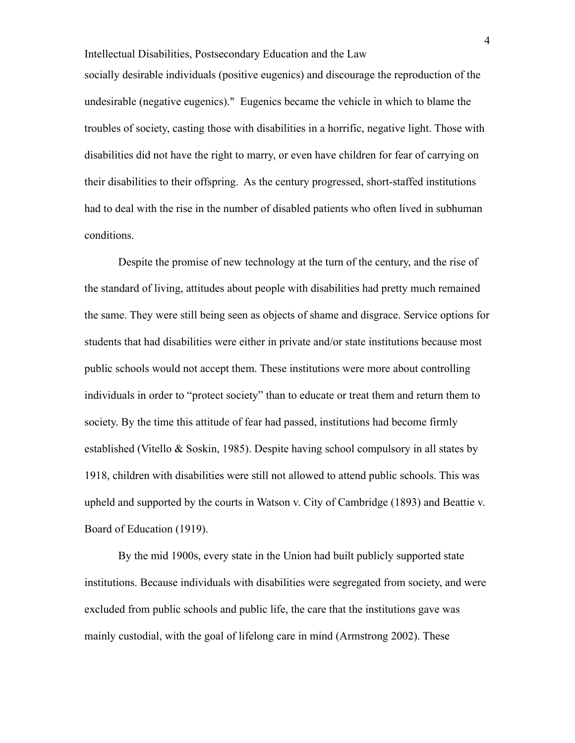Intellectual Disabilities, Postsecondary Education and the Law socially desirable individuals (positive eugenics) and discourage the reproduction of the undesirable (negative eugenics)." Eugenics became the vehicle in which to blame the troubles of society, casting those with disabilities in a horrific, negative light. Those with disabilities did not have the right to marry, or even have children for fear of carrying on their disabilities to their offspring. As the century progressed, short-staffed institutions had to deal with the rise in the number of disabled patients who often lived in subhuman conditions.

Despite the promise of new technology at the turn of the century, and the rise of the standard of living, attitudes about people with disabilities had pretty much remained the same. They were still being seen as objects of shame and disgrace. Service options for students that had disabilities were either in private and/or state institutions because most public schools would not accept them. These institutions were more about controlling individuals in order to "protect society" than to educate or treat them and return them to society. By the time this attitude of fear had passed, institutions had become firmly established (Vitello & Soskin, 1985). Despite having school compulsory in all states by 1918, children with disabilities were still not allowed to attend public schools. This was upheld and supported by the courts in Watson v. City of Cambridge (1893) and Beattie v. Board of Education (1919).

By the mid 1900s, every state in the Union had built publicly supported state institutions. Because individuals with disabilities were segregated from society, and were excluded from public schools and public life, the care that the institutions gave was mainly custodial, with the goal of lifelong care in mind (Armstrong 2002). These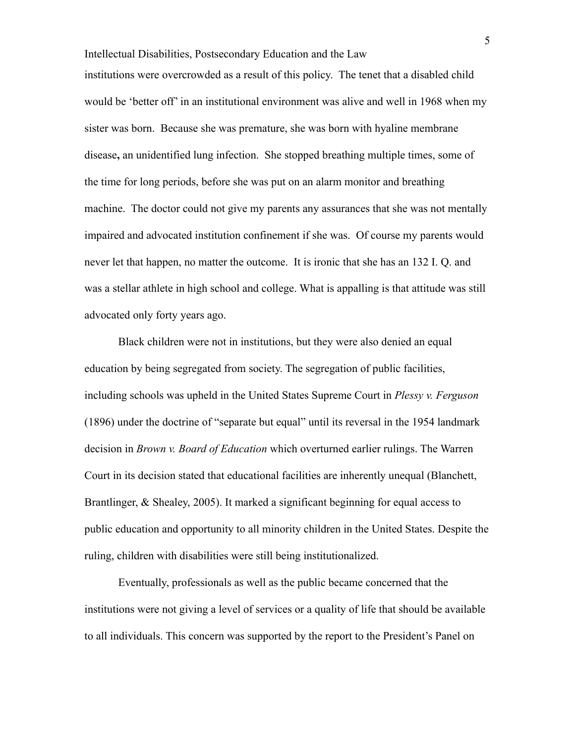Intellectual Disabilities, Postsecondary Education and the Law institutions were overcrowded as a result of this policy. The tenet that a disabled child would be 'better off' in an institutional environment was alive and well in 1968 when my sister was born. Because she was premature, she was born with hyaline membrane disease**,** an unidentified lung infection. She stopped breathing multiple times, some of the time for long periods, before she was put on an alarm monitor and breathing machine. The doctor could not give my parents any assurances that she was not mentally impaired and advocated institution confinement if she was. Of course my parents would never let that happen, no matter the outcome. It is ironic that she has an 132 I. Q. and was a stellar athlete in high school and college. What is appalling is that attitude was still advocated only forty years ago.

Black children were not in institutions, but they were also denied an equal education by being segregated from society. The segregation of public facilities, including schools was upheld in the United States Supreme Court in *Plessy v. Ferguson* (1896) under the doctrine of "separate but equal" until its reversal in the 1954 landmark decision in *Brown v. Board of Education* which overturned earlier rulings. The Warren Court in its decision stated that educational facilities are inherently unequal (Blanchett, Brantlinger, & Shealey, 2005). It marked a significant beginning for equal access to public education and opportunity to all minority children in the United States. Despite the ruling, children with disabilities were still being institutionalized.

Eventually, professionals as well as the public became concerned that the institutions were not giving a level of services or a quality of life that should be available to all individuals. This concern was supported by the report to the President's Panel on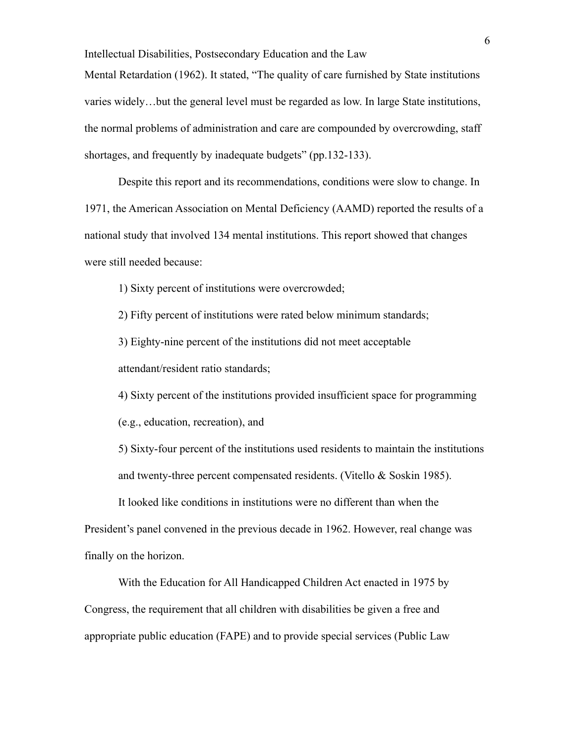Intellectual Disabilities, Postsecondary Education and the Law Mental Retardation (1962). It stated, "The quality of care furnished by State institutions varies widely…but the general level must be regarded as low. In large State institutions, the normal problems of administration and care are compounded by overcrowding, staff shortages, and frequently by inadequate budgets" (pp.132-133).

Despite this report and its recommendations, conditions were slow to change. In 1971, the American Association on Mental Deficiency (AAMD) reported the results of a national study that involved 134 mental institutions. This report showed that changes were still needed because:

1) Sixty percent of institutions were overcrowded;

2) Fifty percent of institutions were rated below minimum standards;

3) Eighty-nine percent of the institutions did not meet acceptable

attendant/resident ratio standards;

4) Sixty percent of the institutions provided insufficient space for programming (e.g., education, recreation), and

5) Sixty-four percent of the institutions used residents to maintain the institutions and twenty-three percent compensated residents. (Vitello & Soskin 1985).

It looked like conditions in institutions were no different than when the President's panel convened in the previous decade in 1962. However, real change was finally on the horizon.

With the Education for All Handicapped Children Act enacted in 1975 by Congress, the requirement that all children with disabilities be given a free and appropriate public education (FAPE) and to provide special services (Public Law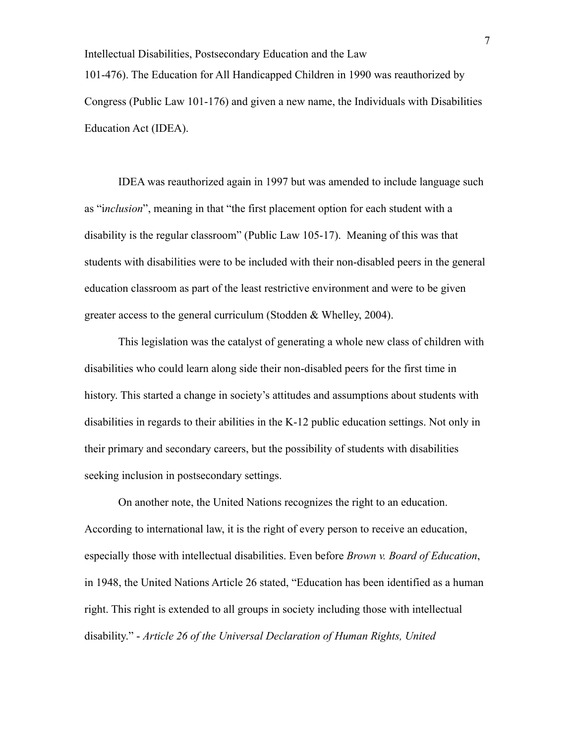Intellectual Disabilities, Postsecondary Education and the Law 101-476). The Education for All Handicapped Children in 1990 was reauthorized by Congress (Public Law 101-176) and given a new name, the Individuals with Disabilities Education Act (IDEA).

IDEA was reauthorized again in 1997 but was amended to include language such as "i*nclusion*", meaning in that "the first placement option for each student with a disability is the regular classroom" (Public Law 105-17). Meaning of this was that students with disabilities were to be included with their non-disabled peers in the general education classroom as part of the least restrictive environment and were to be given greater access to the general curriculum (Stodden & Whelley, 2004).

This legislation was the catalyst of generating a whole new class of children with disabilities who could learn along side their non-disabled peers for the first time in history. This started a change in society's attitudes and assumptions about students with disabilities in regards to their abilities in the K-12 public education settings. Not only in their primary and secondary careers, but the possibility of students with disabilities seeking inclusion in postsecondary settings.

On another note, the United Nations recognizes the right to an education. According to international law, it is the right of every person to receive an education, especially those with intellectual disabilities. Even before *Brown v. Board of Education*, in 1948, the United Nations Article 26 stated, "Education has been identified as a human right. This right is extended to all groups in society including those with intellectual disability." - *Article 26 of the Universal Declaration of Human Rights, United*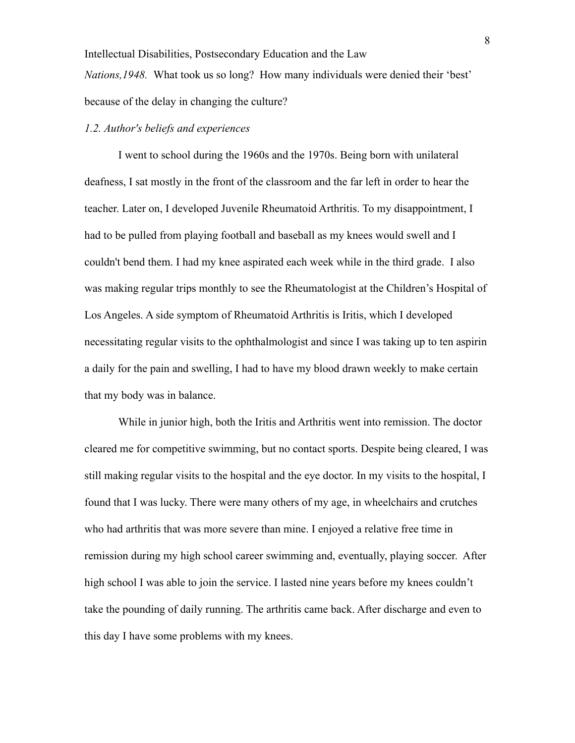*Nations,1948.* What took us so long? How many individuals were denied their 'best' because of the delay in changing the culture?

### *1.2. Author's beliefs and experiences*

I went to school during the 1960s and the 1970s. Being born with unilateral deafness, I sat mostly in the front of the classroom and the far left in order to hear the teacher. Later on, I developed Juvenile Rheumatoid Arthritis. To my disappointment, I had to be pulled from playing football and baseball as my knees would swell and I couldn't bend them. I had my knee aspirated each week while in the third grade. I also was making regular trips monthly to see the Rheumatologist at the Children's Hospital of Los Angeles. A side symptom of Rheumatoid Arthritis is Iritis, which I developed necessitating regular visits to the ophthalmologist and since I was taking up to ten aspirin a daily for the pain and swelling, I had to have my blood drawn weekly to make certain that my body was in balance.

While in junior high, both the Iritis and Arthritis went into remission. The doctor cleared me for competitive swimming, but no contact sports. Despite being cleared, I was still making regular visits to the hospital and the eye doctor. In my visits to the hospital, I found that I was lucky. There were many others of my age, in wheelchairs and crutches who had arthritis that was more severe than mine. I enjoyed a relative free time in remission during my high school career swimming and, eventually, playing soccer. After high school I was able to join the service. I lasted nine years before my knees couldn't take the pounding of daily running. The arthritis came back. After discharge and even to this day I have some problems with my knees.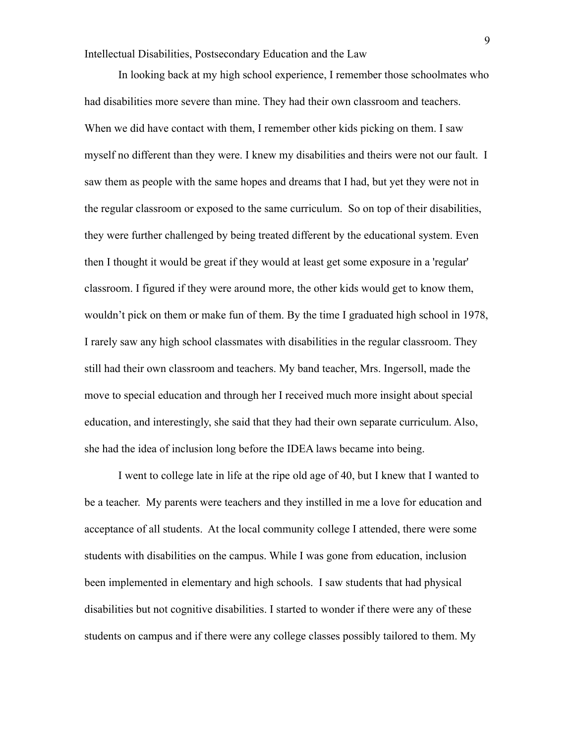In looking back at my high school experience, I remember those schoolmates who had disabilities more severe than mine. They had their own classroom and teachers. When we did have contact with them, I remember other kids picking on them. I saw myself no different than they were. I knew my disabilities and theirs were not our fault. I saw them as people with the same hopes and dreams that I had, but yet they were not in the regular classroom or exposed to the same curriculum. So on top of their disabilities, they were further challenged by being treated different by the educational system. Even then I thought it would be great if they would at least get some exposure in a 'regular' classroom. I figured if they were around more, the other kids would get to know them, wouldn't pick on them or make fun of them. By the time I graduated high school in 1978, I rarely saw any high school classmates with disabilities in the regular classroom. They still had their own classroom and teachers. My band teacher, Mrs. Ingersoll, made the move to special education and through her I received much more insight about special education, and interestingly, she said that they had their own separate curriculum. Also, she had the idea of inclusion long before the IDEA laws became into being.

I went to college late in life at the ripe old age of 40, but I knew that I wanted to be a teacher. My parents were teachers and they instilled in me a love for education and acceptance of all students. At the local community college I attended, there were some students with disabilities on the campus. While I was gone from education, inclusion been implemented in elementary and high schools. I saw students that had physical disabilities but not cognitive disabilities. I started to wonder if there were any of these students on campus and if there were any college classes possibly tailored to them. My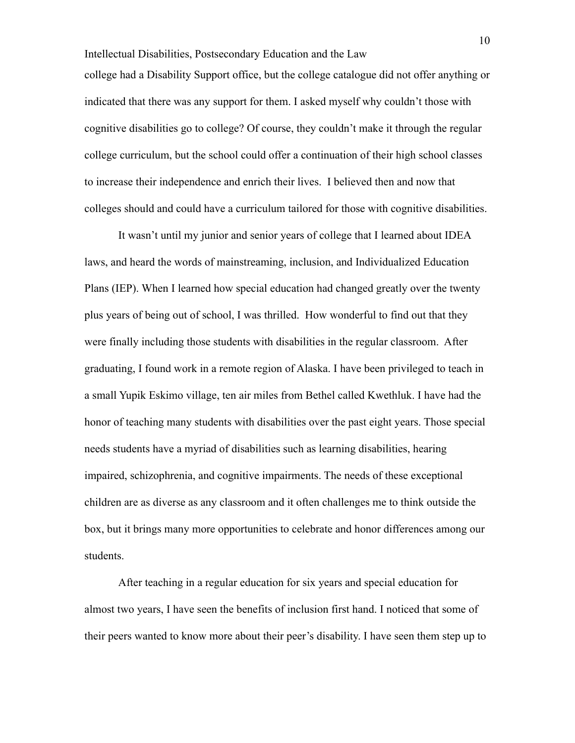Intellectual Disabilities, Postsecondary Education and the Law college had a Disability Support office, but the college catalogue did not offer anything or indicated that there was any support for them. I asked myself why couldn't those with cognitive disabilities go to college? Of course, they couldn't make it through the regular college curriculum, but the school could offer a continuation of their high school classes to increase their independence and enrich their lives. I believed then and now that colleges should and could have a curriculum tailored for those with cognitive disabilities.

It wasn't until my junior and senior years of college that I learned about IDEA laws, and heard the words of mainstreaming, inclusion, and Individualized Education Plans (IEP). When I learned how special education had changed greatly over the twenty plus years of being out of school, I was thrilled. How wonderful to find out that they were finally including those students with disabilities in the regular classroom. After graduating, I found work in a remote region of Alaska. I have been privileged to teach in a small Yupik Eskimo village, ten air miles from Bethel called Kwethluk. I have had the honor of teaching many students with disabilities over the past eight years. Those special needs students have a myriad of disabilities such as learning disabilities, hearing impaired, schizophrenia, and cognitive impairments. The needs of these exceptional children are as diverse as any classroom and it often challenges me to think outside the box, but it brings many more opportunities to celebrate and honor differences among our students.

After teaching in a regular education for six years and special education for almost two years, I have seen the benefits of inclusion first hand. I noticed that some of their peers wanted to know more about their peer's disability. I have seen them step up to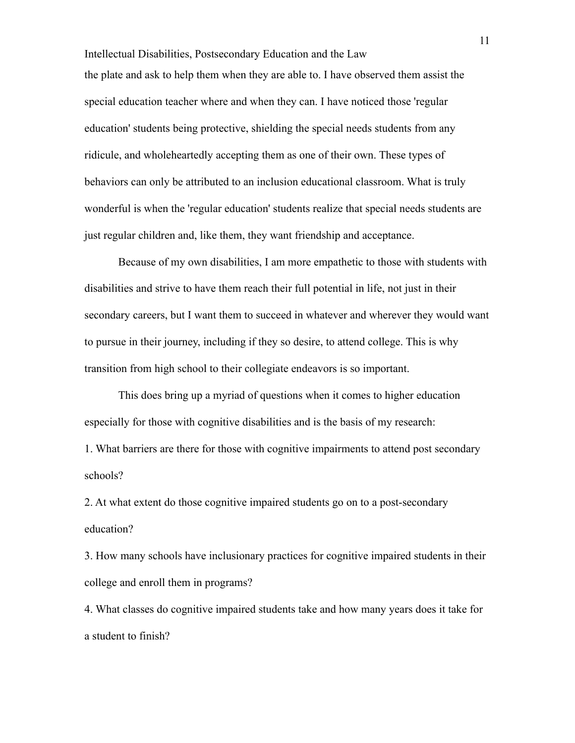Intellectual Disabilities, Postsecondary Education and the Law the plate and ask to help them when they are able to. I have observed them assist the special education teacher where and when they can. I have noticed those 'regular education' students being protective, shielding the special needs students from any ridicule, and wholeheartedly accepting them as one of their own. These types of behaviors can only be attributed to an inclusion educational classroom. What is truly wonderful is when the 'regular education' students realize that special needs students are just regular children and, like them, they want friendship and acceptance.

Because of my own disabilities, I am more empathetic to those with students with disabilities and strive to have them reach their full potential in life, not just in their secondary careers, but I want them to succeed in whatever and wherever they would want to pursue in their journey, including if they so desire, to attend college. This is why transition from high school to their collegiate endeavors is so important.

This does bring up a myriad of questions when it comes to higher education especially for those with cognitive disabilities and is the basis of my research:

1. What barriers are there for those with cognitive impairments to attend post secondary schools?

2. At what extent do those cognitive impaired students go on to a post-secondary education?

3. How many schools have inclusionary practices for cognitive impaired students in their college and enroll them in programs?

4. What classes do cognitive impaired students take and how many years does it take for a student to finish?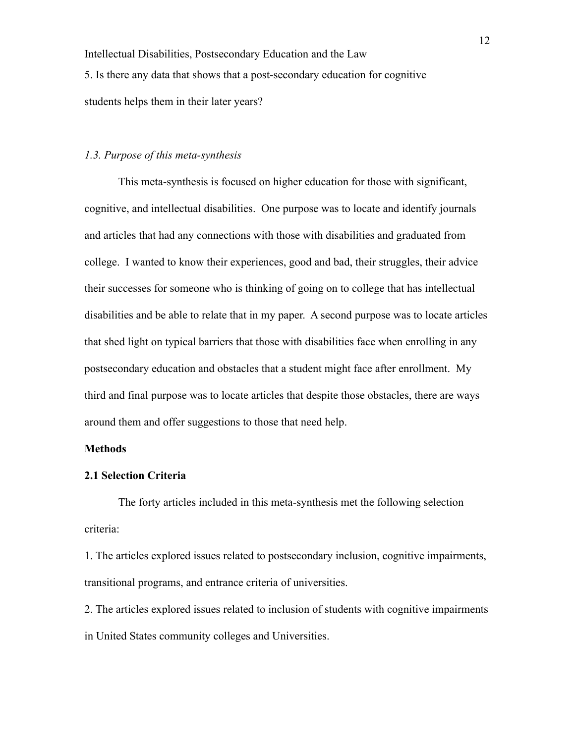Intellectual Disabilities, Postsecondary Education and the Law 5. Is there any data that shows that a post-secondary education for cognitive students helps them in their later years?

# *1.3. Purpose of this meta-synthesis*

This meta-synthesis is focused on higher education for those with significant, cognitive, and intellectual disabilities. One purpose was to locate and identify journals and articles that had any connections with those with disabilities and graduated from college. I wanted to know their experiences, good and bad, their struggles, their advice their successes for someone who is thinking of going on to college that has intellectual disabilities and be able to relate that in my paper. A second purpose was to locate articles that shed light on typical barriers that those with disabilities face when enrolling in any postsecondary education and obstacles that a student might face after enrollment. My third and final purpose was to locate articles that despite those obstacles, there are ways around them and offer suggestions to those that need help.

### **Methods**

#### **2.1 Selection Criteria**

The forty articles included in this meta-synthesis met the following selection criteria:

1. The articles explored issues related to postsecondary inclusion, cognitive impairments, transitional programs, and entrance criteria of universities.

2. The articles explored issues related to inclusion of students with cognitive impairments in United States community colleges and Universities.

12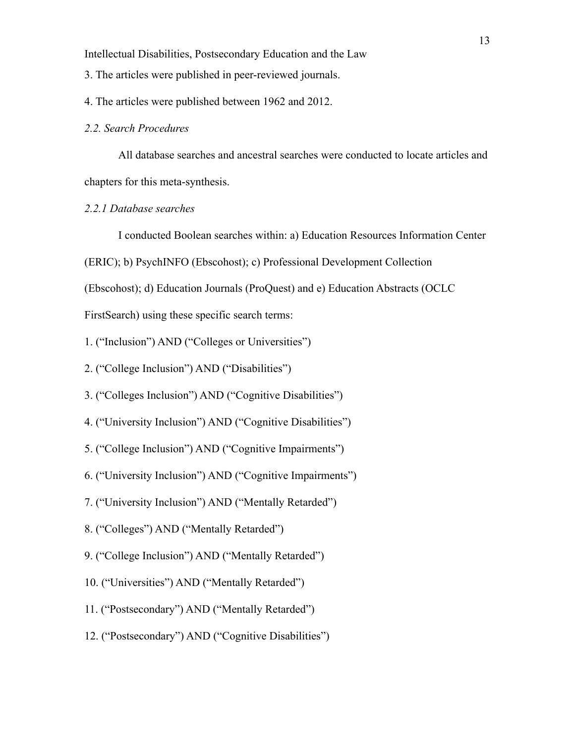- 3. The articles were published in peer-reviewed journals.
- 4. The articles were published between 1962 and 2012.

#### *2.2. Search Procedures*

All database searches and ancestral searches were conducted to locate articles and chapters for this meta-synthesis.

## *2.2.1 Database searches*

I conducted Boolean searches within: a) Education Resources Information Center

(ERIC); b) PsychINFO (Ebscohost); c) Professional Development Collection

(Ebscohost); d) Education Journals (ProQuest) and e) Education Abstracts (OCLC

FirstSearch) using these specific search terms:

1. ("Inclusion") AND ("Colleges or Universities")

- 2. ("College Inclusion") AND ("Disabilities")
- 3. ("Colleges Inclusion") AND ("Cognitive Disabilities")
- 4. ("University Inclusion") AND ("Cognitive Disabilities")
- 5. ("College Inclusion") AND ("Cognitive Impairments")
- 6. ("University Inclusion") AND ("Cognitive Impairments")
- 7. ("University Inclusion") AND ("Mentally Retarded")
- 8. ("Colleges") AND ("Mentally Retarded")
- 9. ("College Inclusion") AND ("Mentally Retarded")
- 10. ("Universities") AND ("Mentally Retarded")
- 11. ("Postsecondary") AND ("Mentally Retarded")
- 12. ("Postsecondary") AND ("Cognitive Disabilities")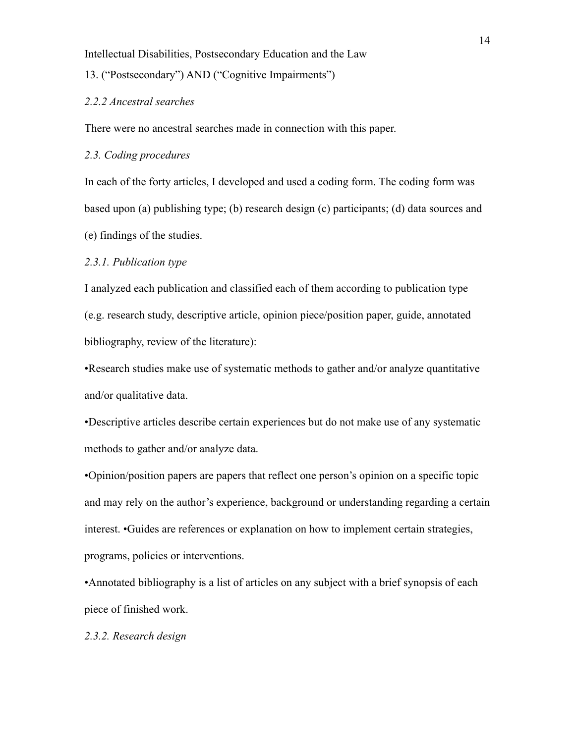13. ("Postsecondary") AND ("Cognitive Impairments")

#### *2.2.2 Ancestral searches*

There were no ancestral searches made in connection with this paper.

*2.3. Coding procedures*

In each of the forty articles, I developed and used a coding form. The coding form was based upon (a) publishing type; (b) research design (c) participants; (d) data sources and (e) findings of the studies.

#### *2.3.1. Publication type*

I analyzed each publication and classified each of them according to publication type (e.g. research study, descriptive article, opinion piece/position paper, guide, annotated bibliography, review of the literature):

•Research studies make use of systematic methods to gather and/or analyze quantitative and/or qualitative data.

•Descriptive articles describe certain experiences but do not make use of any systematic methods to gather and/or analyze data.

•Opinion/position papers are papers that reflect one person's opinion on a specific topic and may rely on the author's experience, background or understanding regarding a certain interest. •Guides are references or explanation on how to implement certain strategies, programs, policies or interventions.

•Annotated bibliography is a list of articles on any subject with a brief synopsis of each piece of finished work.

*2.3.2. Research design*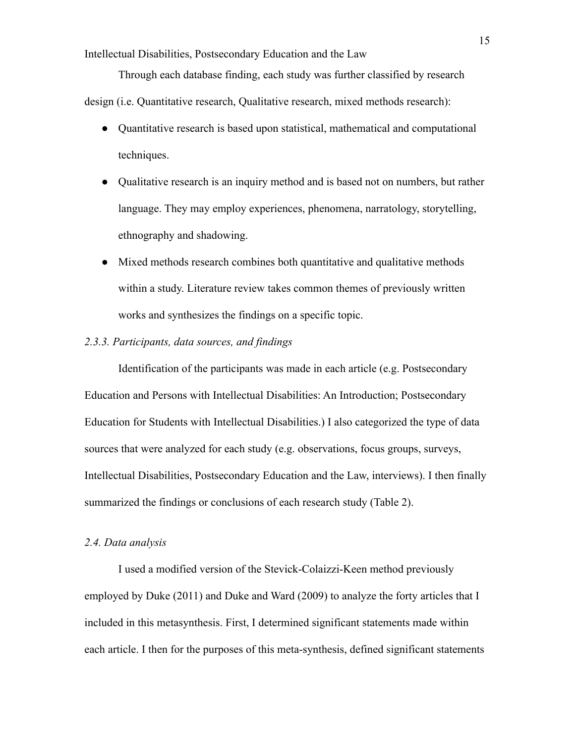Through each database finding, each study was further classified by research

design (i.e. Quantitative research, Qualitative research, mixed methods research):

- Quantitative research is based upon statistical, mathematical and computational techniques.
- Qualitative research is an inquiry method and is based not on numbers, but rather language. They may employ experiences, phenomena, narratology, storytelling, ethnography and shadowing.
- Mixed methods research combines both quantitative and qualitative methods within a study. Literature review takes common themes of previously written works and synthesizes the findings on a specific topic.

## *2.3.3. Participants, data sources, and findings*

Identification of the participants was made in each article (e.g. Postsecondary Education and Persons with Intellectual Disabilities: An Introduction; Postsecondary Education for Students with Intellectual Disabilities.) I also categorized the type of data sources that were analyzed for each study (e.g. observations, focus groups, surveys, Intellectual Disabilities, Postsecondary Education and the Law, interviews). I then finally summarized the findings or conclusions of each research study (Table 2).

#### *2.4. Data analysis*

I used a modified version of the Stevick-Colaizzi-Keen method previously employed by Duke (2011) and Duke and Ward (2009) to analyze the forty articles that I included in this metasynthesis. First, I determined significant statements made within each article. I then for the purposes of this meta-synthesis, defined significant statements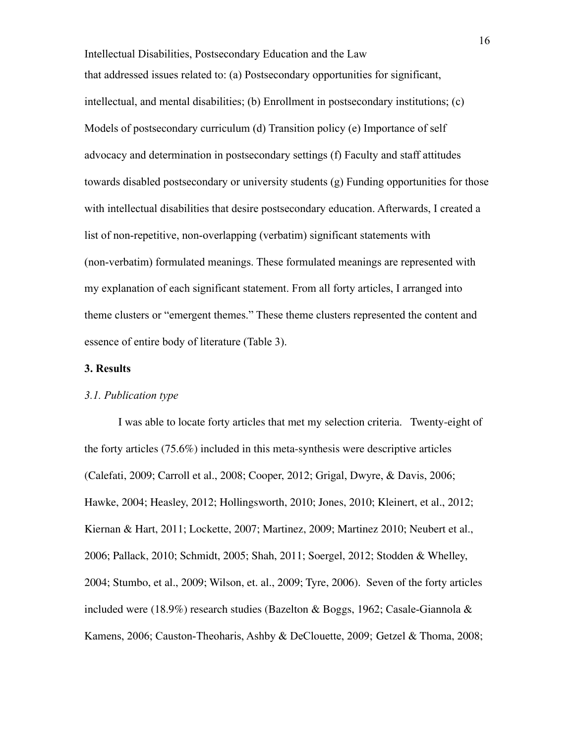Intellectual Disabilities, Postsecondary Education and the Law that addressed issues related to: (a) Postsecondary opportunities for significant, intellectual, and mental disabilities; (b) Enrollment in postsecondary institutions; (c) Models of postsecondary curriculum (d) Transition policy (e) Importance of self advocacy and determination in postsecondary settings (f) Faculty and staff attitudes towards disabled postsecondary or university students (g) Funding opportunities for those with intellectual disabilities that desire postsecondary education. Afterwards, I created a list of non-repetitive, non-overlapping (verbatim) significant statements with (non-verbatim) formulated meanings. These formulated meanings are represented with my explanation of each significant statement. From all forty articles, I arranged into theme clusters or "emergent themes." These theme clusters represented the content and essence of entire body of literature (Table 3).

## **3. Results**

#### *3.1. Publication type*

I was able to locate forty articles that met my selection criteria. Twenty-eight of the forty articles (75.6%) included in this meta-synthesis were descriptive articles (Calefati, 2009; Carroll et al., 2008; Cooper, 2012; Grigal, Dwyre, & Davis, 2006; Hawke, 2004; Heasley, 2012; Hollingsworth, 2010; Jones, 2010; Kleinert, et al., 2012; Kiernan & Hart, 2011; Lockette, 2007; Martinez, 2009; Martinez 2010; Neubert et al., 2006; Pallack, 2010; Schmidt, 2005; Shah, 2011; Soergel, 2012; Stodden & Whelley, 2004; Stumbo, et al., 2009; Wilson, et. al., 2009; Tyre, 2006). Seven of the forty articles included were (18.9%) research studies (Bazelton & Boggs, 1962; Casale-Giannola & Kamens, 2006; Causton-Theoharis, Ashby & DeClouette, 2009; Getzel & Thoma, 2008;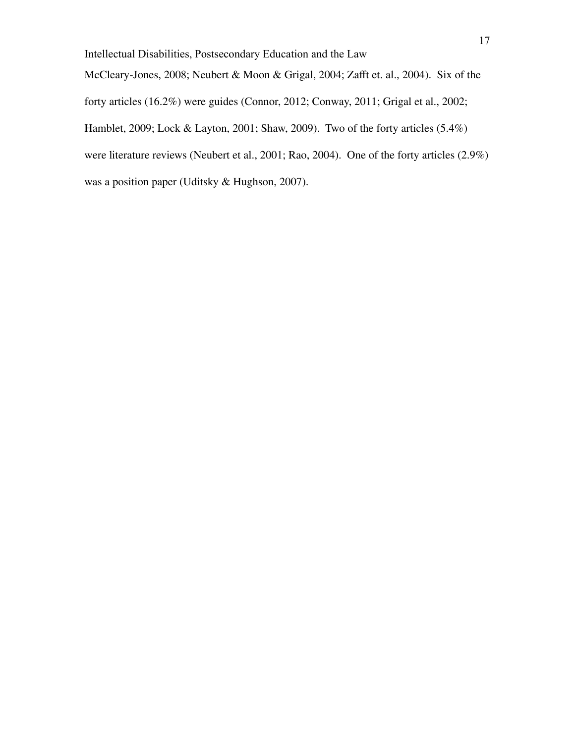McCleary-Jones, 2008; Neubert & Moon & Grigal, 2004; Zafft et. al., 2004). Six of the

forty articles (16.2%) were guides (Connor, 2012; Conway, 2011; Grigal et al., 2002;

Hamblet, 2009; Lock & Layton, 2001; Shaw, 2009). Two of the forty articles (5.4%)

were literature reviews (Neubert et al., 2001; Rao, 2004). One of the forty articles (2.9%)

was a position paper (Uditsky & Hughson, 2007).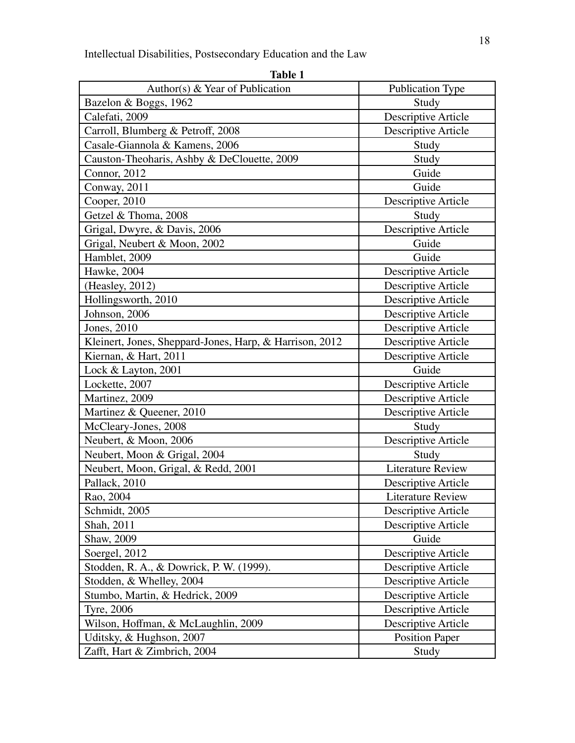| Author(s) $& Year of Publication$                       | <b>Publication Type</b>  |
|---------------------------------------------------------|--------------------------|
| Bazelon & Boggs, 1962                                   | Study                    |
| Calefati, 2009                                          | Descriptive Article      |
| Carroll, Blumberg & Petroff, 2008                       | Descriptive Article      |
| Casale-Giannola & Kamens, 2006                          | Study                    |
| Causton-Theoharis, Ashby & DeClouette, 2009             | Study                    |
| Connor, 2012                                            | Guide                    |
| Conway, 2011                                            | Guide                    |
| Cooper, 2010                                            | Descriptive Article      |
| Getzel & Thoma, 2008                                    | Study                    |
| Grigal, Dwyre, & Davis, 2006                            | Descriptive Article      |
| Grigal, Neubert & Moon, 2002                            | Guide                    |
| Hamblet, 2009                                           | Guide                    |
| Hawke, 2004                                             | Descriptive Article      |
| (Heasley, 2012)                                         | Descriptive Article      |
| Hollingsworth, 2010                                     | Descriptive Article      |
| Johnson, 2006                                           | Descriptive Article      |
| Jones, 2010                                             | Descriptive Article      |
| Kleinert, Jones, Sheppard-Jones, Harp, & Harrison, 2012 | Descriptive Article      |
| Kiernan, & Hart, 2011                                   | Descriptive Article      |
| Lock & Layton, 2001                                     | Guide                    |
| Lockette, 2007                                          | Descriptive Article      |
| Martinez, 2009                                          | Descriptive Article      |
| Martinez & Queener, 2010                                | Descriptive Article      |
| McCleary-Jones, 2008                                    | Study                    |
| Neubert, & Moon, 2006                                   | Descriptive Article      |
| Neubert, Moon & Grigal, 2004                            | Study                    |
| Neubert, Moon, Grigal, & Redd, 2001                     | <b>Literature Review</b> |
| Pallack, 2010                                           | Descriptive Article      |
| Rao, 2004                                               | Literature Review        |
| Schmidt, 2005                                           | Descriptive Article      |
| Shah, 2011                                              | Descriptive Article      |
| Shaw, 2009                                              | Guide                    |
| Soergel, 2012                                           | Descriptive Article      |
| Stodden, R. A., & Dowrick, P. W. (1999).                | Descriptive Article      |
| Stodden, & Whelley, 2004                                | Descriptive Article      |
| Stumbo, Martin, & Hedrick, 2009                         | Descriptive Article      |
| <b>Tyre, 2006</b>                                       | Descriptive Article      |
| Wilson, Hoffman, & McLaughlin, 2009                     | Descriptive Article      |
| Uditsky, & Hughson, 2007                                | <b>Position Paper</b>    |
| Zafft, Hart & Zimbrich, 2004                            | Study                    |

| н<br>п |  |
|--------|--|
|        |  |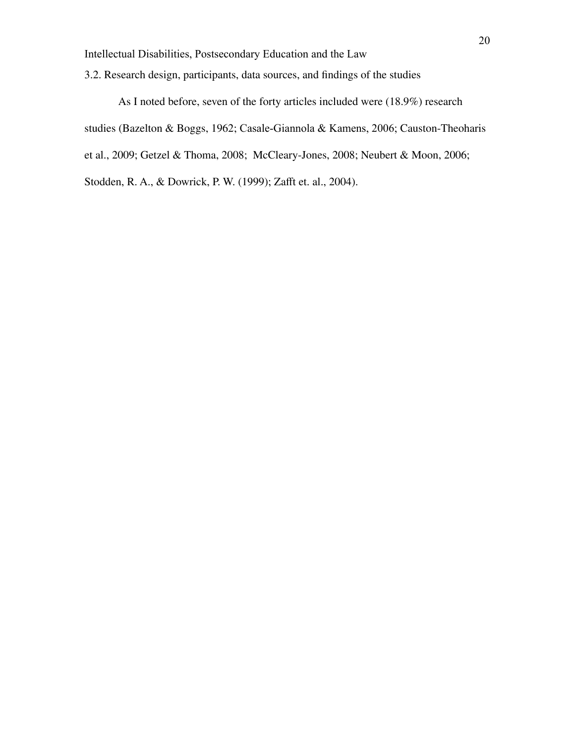3.2. Research design, participants, data sources, and findings of the studies

As I noted before, seven of the forty articles included were (18.9%) research studies (Bazelton & Boggs, 1962; Casale-Giannola & Kamens, 2006; Causton-Theoharis et al., 2009; Getzel & Thoma, 2008; McCleary-Jones, 2008; Neubert & Moon, 2006; Stodden, R. A., & Dowrick, P. W. (1999); Zafft et. al., 2004).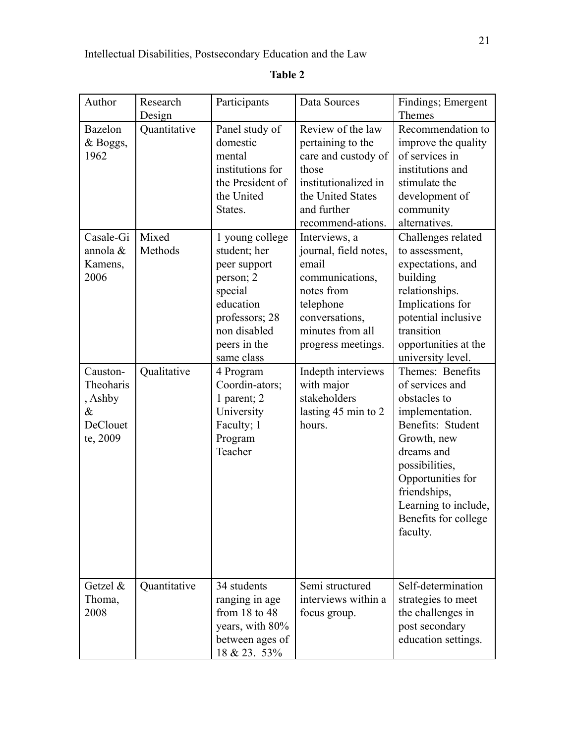| Author                                                           | Research<br>Design | Participants                                                                                                                                         | Data Sources                                                                                                                                              | Findings; Emergent<br><b>Themes</b>                                                                                                                                                                                                         |
|------------------------------------------------------------------|--------------------|------------------------------------------------------------------------------------------------------------------------------------------------------|-----------------------------------------------------------------------------------------------------------------------------------------------------------|---------------------------------------------------------------------------------------------------------------------------------------------------------------------------------------------------------------------------------------------|
| Bazelon<br>& Boggs,<br>1962                                      | Quantitative       | Panel study of<br>domestic<br>mental<br>institutions for<br>the President of<br>the United<br>States.                                                | Review of the law<br>pertaining to the<br>care and custody of<br>those<br>institutionalized in<br>the United States<br>and further<br>recommend-ations.   | Recommendation to<br>improve the quality<br>of services in<br>institutions and<br>stimulate the<br>development of<br>community<br>alternatives.                                                                                             |
| Casale-Gi<br>annola &<br>Kamens,<br>2006                         | Mixed<br>Methods   | 1 young college<br>student; her<br>peer support<br>person; 2<br>special<br>education<br>professors; 28<br>non disabled<br>peers in the<br>same class | Interviews, a<br>journal, field notes,<br>email<br>communications,<br>notes from<br>telephone<br>conversations,<br>minutes from all<br>progress meetings. | Challenges related<br>to assessment,<br>expectations, and<br>building<br>relationships.<br>Implications for<br>potential inclusive<br>transition<br>opportunities at the<br>university level.                                               |
| Causton-<br>Theoharis<br>, Ashby<br>$\&$<br>DeClouet<br>te, 2009 | Qualitative        | 4 Program<br>Coordin-ators;<br>1 parent; 2<br>University<br>Faculty; 1<br>Program<br>Teacher                                                         | Indepth interviews<br>with major<br>stakeholders<br>lasting 45 min to 2<br>hours.                                                                         | Themes: Benefits<br>of services and<br>obstacles to<br>implementation.<br>Benefits: Student<br>Growth, new<br>dreams and<br>possibilities,<br>Opportunities for<br>friendships,<br>Learning to include,<br>Benefits for college<br>faculty. |
| Getzel $\&$<br>Thoma,<br>2008                                    | Quantitative       | 34 students<br>ranging in age<br>from $18$ to $48$<br>years, with 80%<br>between ages of<br><u>18 &amp; 23. 53%</u>                                  | Semi structured<br>interviews within a<br>focus group.                                                                                                    | Self-determination<br>strategies to meet<br>the challenges in<br>post secondary<br>education settings.                                                                                                                                      |

# **Table 2**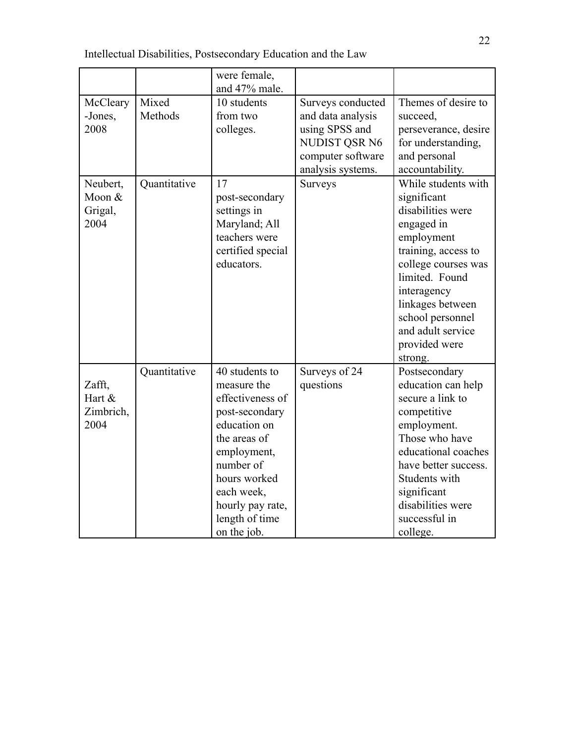|                                       |                  | were female,<br>and 47% male.                                                                                                                                                                                      |                                                                                                                     |                                                                                                                                                                                                                                                             |
|---------------------------------------|------------------|--------------------------------------------------------------------------------------------------------------------------------------------------------------------------------------------------------------------|---------------------------------------------------------------------------------------------------------------------|-------------------------------------------------------------------------------------------------------------------------------------------------------------------------------------------------------------------------------------------------------------|
| McCleary<br>-Jones,<br>2008           | Mixed<br>Methods | 10 students<br>from two<br>colleges.                                                                                                                                                                               | Surveys conducted<br>and data analysis<br>using SPSS and<br>NUDIST QSR N6<br>computer software<br>analysis systems. | Themes of desire to<br>succeed,<br>perseverance, desire<br>for understanding,<br>and personal<br>accountability.                                                                                                                                            |
| Neubert,<br>Moon &<br>Grigal,<br>2004 | Quantitative     | 17<br>post-secondary<br>settings in<br>Maryland; All<br>teachers were<br>certified special<br>educators.                                                                                                           | Surveys                                                                                                             | While students with<br>significant<br>disabilities were<br>engaged in<br>employment<br>training, access to<br>college courses was<br>limited. Found<br>interagency<br>linkages between<br>school personnel<br>and adult service<br>provided were<br>strong. |
| Zafft,<br>Hart &<br>Zimbrich,<br>2004 | Quantitative     | 40 students to<br>measure the<br>effectiveness of<br>post-secondary<br>education on<br>the areas of<br>employment,<br>number of<br>hours worked<br>each week,<br>hourly pay rate,<br>length of time<br>on the job. | Surveys of 24<br>questions                                                                                          | Postsecondary<br>education can help<br>secure a link to<br>competitive<br>employment.<br>Those who have<br>educational coaches<br>have better success.<br>Students with<br>significant<br>disabilities were<br>successful in<br>college.                    |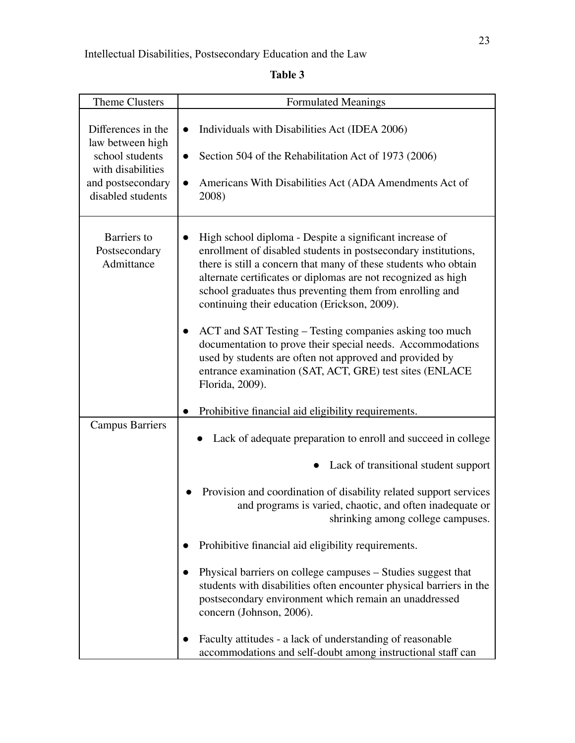**Table 3**

| Theme Clusters                                                                                                           | <b>Formulated Meanings</b>                                                                                                                                                                                                                                                                                                                                                                                                                                                                                                                                                                                                                  |
|--------------------------------------------------------------------------------------------------------------------------|---------------------------------------------------------------------------------------------------------------------------------------------------------------------------------------------------------------------------------------------------------------------------------------------------------------------------------------------------------------------------------------------------------------------------------------------------------------------------------------------------------------------------------------------------------------------------------------------------------------------------------------------|
| Differences in the<br>law between high<br>school students<br>with disabilities<br>and postsecondary<br>disabled students | Individuals with Disabilities Act (IDEA 2006)<br>$\bullet$<br>Section 504 of the Rehabilitation Act of 1973 (2006)<br>Americans With Disabilities Act (ADA Amendments Act of<br>$\bullet$<br>2008)                                                                                                                                                                                                                                                                                                                                                                                                                                          |
| Barriers to<br>Postsecondary<br>Admittance                                                                               | High school diploma - Despite a significant increase of<br>enrollment of disabled students in postsecondary institutions,<br>there is still a concern that many of these students who obtain<br>alternate certificates or diplomas are not recognized as high<br>school graduates thus preventing them from enrolling and<br>continuing their education (Erickson, 2009).<br>ACT and SAT Testing – Testing companies asking too much<br>documentation to prove their special needs. Accommodations<br>used by students are often not approved and provided by<br>entrance examination (SAT, ACT, GRE) test sites (ENLACE<br>Florida, 2009). |
|                                                                                                                          | Prohibitive financial aid eligibility requirements.                                                                                                                                                                                                                                                                                                                                                                                                                                                                                                                                                                                         |
| <b>Campus Barriers</b>                                                                                                   | Lack of adequate preparation to enroll and succeed in college<br>Lack of transitional student support<br>Provision and coordination of disability related support services<br>and programs is varied, chaotic, and often inadequate or<br>shrinking among college campuses.<br>Prohibitive financial aid eligibility requirements.<br>Physical barriers on college campuses – Studies suggest that<br>students with disabilities often encounter physical barriers in the<br>postsecondary environment which remain an unaddressed<br>concern (Johnson, 2006).                                                                              |
|                                                                                                                          | Faculty attitudes - a lack of understanding of reasonable<br>accommodations and self-doubt among instructional staff can                                                                                                                                                                                                                                                                                                                                                                                                                                                                                                                    |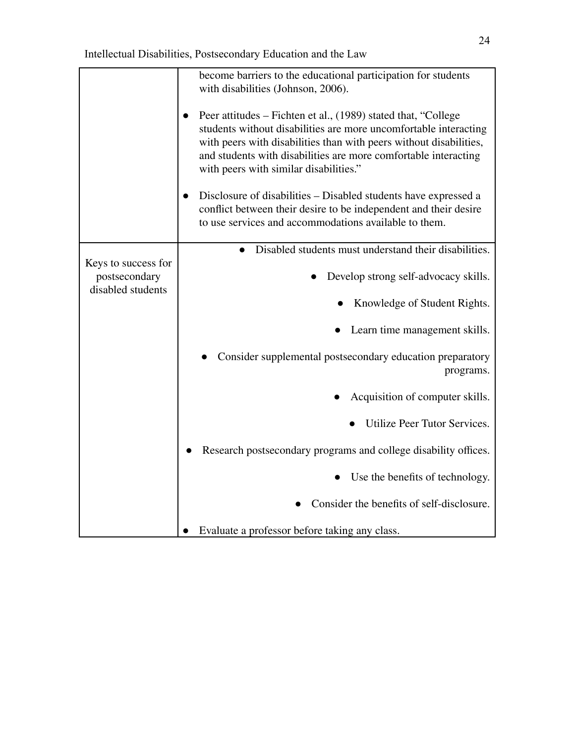|                                                           | become barriers to the educational participation for students<br>with disabilities (Johnson, 2006).                                                                                                                                                                                                                  |
|-----------------------------------------------------------|----------------------------------------------------------------------------------------------------------------------------------------------------------------------------------------------------------------------------------------------------------------------------------------------------------------------|
|                                                           | Peer attitudes – Fichten et al., (1989) stated that, "College<br>students without disabilities are more uncomfortable interacting<br>with peers with disabilities than with peers without disabilities,<br>and students with disabilities are more comfortable interacting<br>with peers with similar disabilities." |
|                                                           | Disclosure of disabilities – Disabled students have expressed a<br>conflict between their desire to be independent and their desire<br>to use services and accommodations available to them.                                                                                                                         |
|                                                           | Disabled students must understand their disabilities.                                                                                                                                                                                                                                                                |
| Keys to success for<br>postsecondary<br>disabled students | Develop strong self-advocacy skills.                                                                                                                                                                                                                                                                                 |
|                                                           | Knowledge of Student Rights.                                                                                                                                                                                                                                                                                         |
|                                                           | Learn time management skills.                                                                                                                                                                                                                                                                                        |
|                                                           | Consider supplemental postsecondary education preparatory<br>programs.                                                                                                                                                                                                                                               |
|                                                           | Acquisition of computer skills.                                                                                                                                                                                                                                                                                      |
|                                                           | Utilize Peer Tutor Services.                                                                                                                                                                                                                                                                                         |
|                                                           | Research postsecondary programs and college disability offices.                                                                                                                                                                                                                                                      |
|                                                           | Use the benefits of technology.                                                                                                                                                                                                                                                                                      |
|                                                           | Consider the benefits of self-disclosure.                                                                                                                                                                                                                                                                            |
|                                                           | Evaluate a professor before taking any class.                                                                                                                                                                                                                                                                        |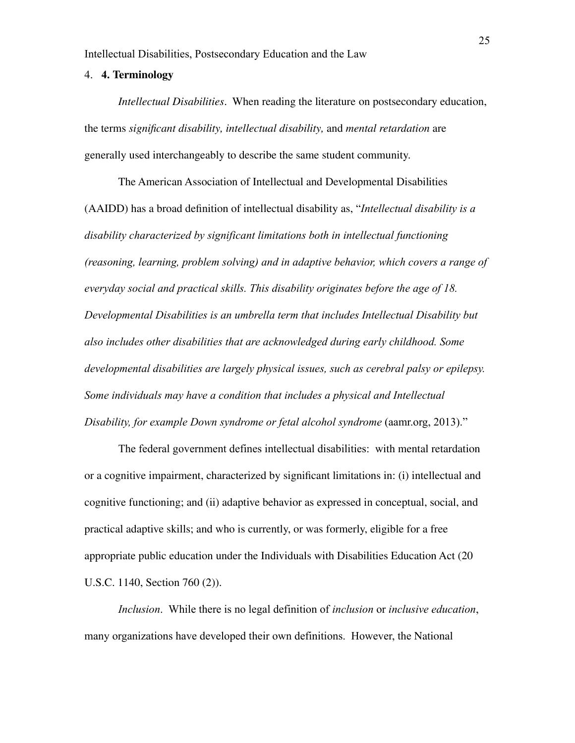#### 4. **4. Terminology**

*Intellectual Disabilities*. When reading the literature on postsecondary education, the terms *significant disability, intellectual disability,* and *mental retardation* are generally used interchangeably to describe the same student community.

The American Association of Intellectual and Developmental Disabilities (AAIDD) has a broad definition of intellectual disability as, "*Intellectual disability is a disability characterized by significant limitations both in intellectual functioning (reasoning, learning, problem solving) and in adaptive behavior, which covers a range of everyday social and practical skills. This disability originates before the age of 18. Developmental Disabilities is an umbrella term that includes Intellectual Disability but also includes other disabilities that are acknowledged during early childhood. Some developmental disabilities are largely physical issues, such as cerebral palsy or epilepsy. Some individuals may have a condition that includes a physical and Intellectual Disability, for example Down syndrome or fetal alcohol syndrome* (aamr.org, 2013)."

The federal government defines intellectual disabilities: with mental retardation or a cognitive impairment, characterized by significant limitations in: (i) intellectual and cognitive functioning; and (ii) adaptive behavior as expressed in conceptual, social, and practical adaptive skills; and who is currently, or was formerly, eligible for a free appropriate public education under the Individuals with Disabilities Education Act (20 U.S.C. 1140, Section 760 (2)).

*Inclusion*. While there is no legal definition of *inclusion* or *inclusive education*, many organizations have developed their own definitions. However, the National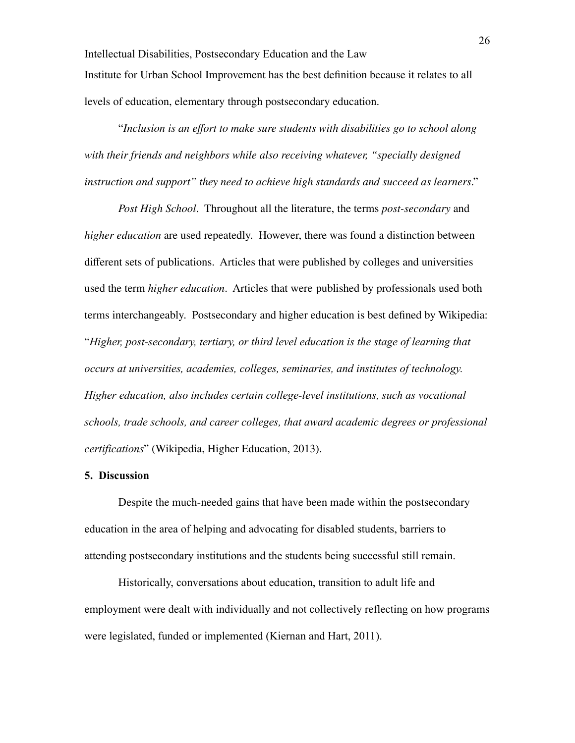Intellectual Disabilities, Postsecondary Education and the Law Institute for Urban School Improvement has the best definition because it relates to all levels of education, elementary through postsecondary education.

"*Inclusion is an effort to make sure students with disabilities go to school along with their friends and neighbors while also receiving whatever, "specially designed instruction and support" they need to achieve high standards and succeed as learners*."

*Post High School*. Throughout all the literature, the terms *post-secondary* and *higher education* are used repeatedly. However, there was found a distinction between different sets of publications. Articles that were published by colleges and universities used the term *higher education*. Articles that were published by professionals used both terms interchangeably. Postsecondary and higher education is best defined by Wikipedia: "*Higher, post-secondary, tertiary, or third level education is the stage of learning that occurs at universities, academies, colleges, seminaries, and institutes of technology. Higher education, also includes certain college-level institutions, such as vocational schools, trade schools, and career colleges, that award academic degrees or professional certifications*" (Wikipedia, Higher Education, 2013).

#### **5. Discussion**

Despite the much-needed gains that have been made within the postsecondary education in the area of helping and advocating for disabled students, barriers to attending postsecondary institutions and the students being successful still remain.

Historically, conversations about education, transition to adult life and employment were dealt with individually and not collectively reflecting on how programs were legislated, funded or implemented (Kiernan and Hart, 2011).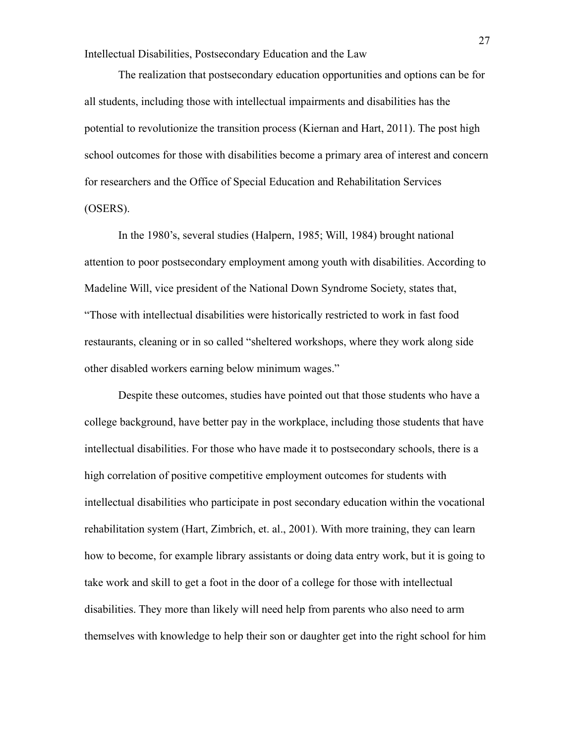The realization that postsecondary education opportunities and options can be for all students, including those with intellectual impairments and disabilities has the potential to revolutionize the transition process (Kiernan and Hart, 2011). The post high school outcomes for those with disabilities become a primary area of interest and concern for researchers and the Office of Special Education and Rehabilitation Services (OSERS).

In the 1980's, several studies (Halpern, 1985; Will, 1984) brought national attention to poor postsecondary employment among youth with disabilities. According to Madeline Will, vice president of the National Down Syndrome Society, states that, "Those with intellectual disabilities were historically restricted to work in fast food restaurants, cleaning or in so called "sheltered workshops, where they work along side other disabled workers earning below minimum wages."

Despite these outcomes, studies have pointed out that those students who have a college background, have better pay in the workplace, including those students that have intellectual disabilities. For those who have made it to postsecondary schools, there is a high correlation of positive competitive employment outcomes for students with intellectual disabilities who participate in post secondary education within the vocational rehabilitation system (Hart, Zimbrich, et. al., 2001). With more training, they can learn how to become, for example library assistants or doing data entry work, but it is going to take work and skill to get a foot in the door of a college for those with intellectual disabilities. They more than likely will need help from parents who also need to arm themselves with knowledge to help their son or daughter get into the right school for him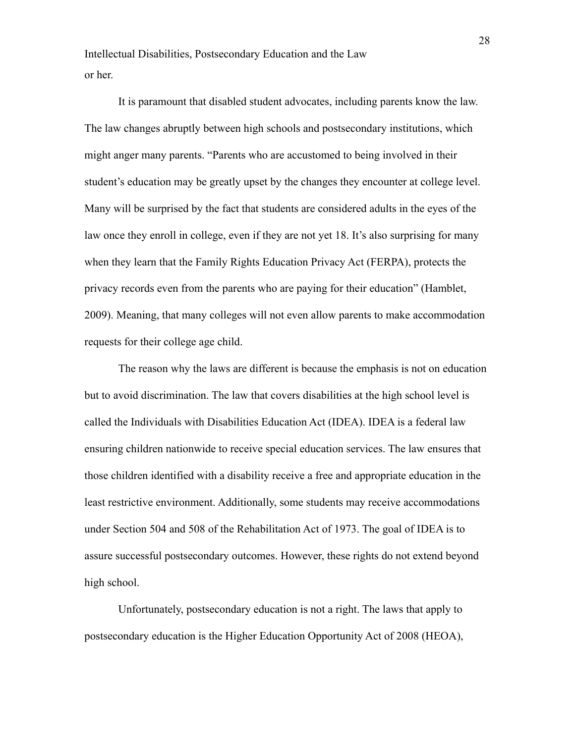It is paramount that disabled student advocates, including parents know the law. The law changes abruptly between high schools and postsecondary institutions, which might anger many parents. "Parents who are accustomed to being involved in their student's education may be greatly upset by the changes they encounter at college level. Many will be surprised by the fact that students are considered adults in the eyes of the law once they enroll in college, even if they are not yet 18. It's also surprising for many when they learn that the Family Rights Education Privacy Act (FERPA), protects the privacy records even from the parents who are paying for their education" (Hamblet, 2009). Meaning, that many colleges will not even allow parents to make accommodation requests for their college age child.

The reason why the laws are different is because the emphasis is not on education but to avoid discrimination. The law that covers disabilities at the high school level is called the Individuals with Disabilities Education Act (IDEA). IDEA is a federal law ensuring children nationwide to receive special education services. The law ensures that those children identified with a disability receive a free and appropriate education in the least restrictive environment. Additionally, some students may receive accommodations under Section 504 and 508 of the Rehabilitation Act of 1973. The goal of IDEA is to assure successful postsecondary outcomes. However, these rights do not extend beyond high school.

Unfortunately, postsecondary education is not a right. The laws that apply to postsecondary education is the Higher Education Opportunity Act of 2008 (HEOA),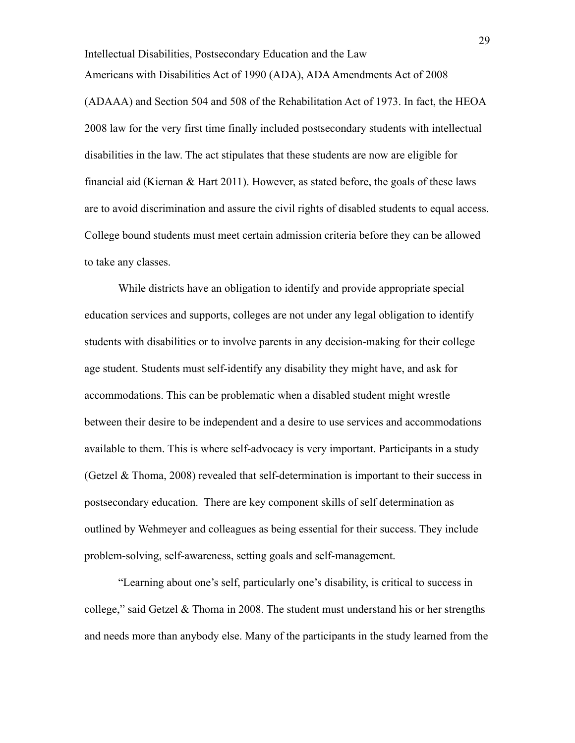Americans with Disabilities Act of 1990 (ADA), ADA Amendments Act of 2008 (ADAAA) and Section 504 and 508 of the Rehabilitation Act of 1973. In fact, the HEOA 2008 law for the very first time finally included postsecondary students with intellectual disabilities in the law. The act stipulates that these students are now are eligible for financial aid (Kiernan  $\&$  Hart 2011). However, as stated before, the goals of these laws are to avoid discrimination and assure the civil rights of disabled students to equal access. College bound students must meet certain admission criteria before they can be allowed to take any classes.

While districts have an obligation to identify and provide appropriate special education services and supports, colleges are not under any legal obligation to identify students with disabilities or to involve parents in any decision-making for their college age student. Students must self-identify any disability they might have, and ask for accommodations. This can be problematic when a disabled student might wrestle between their desire to be independent and a desire to use services and accommodations available to them. This is where self-advocacy is very important. Participants in a study (Getzel  $&$  Thoma, 2008) revealed that self-determination is important to their success in postsecondary education. There are key component skills of self determination as outlined by Wehmeyer and colleagues as being essential for their success. They include problem-solving, self-awareness, setting goals and self-management.

"Learning about one's self, particularly one's disability, is critical to success in college," said Getzel  $&$  Thoma in 2008. The student must understand his or her strengths and needs more than anybody else. Many of the participants in the study learned from the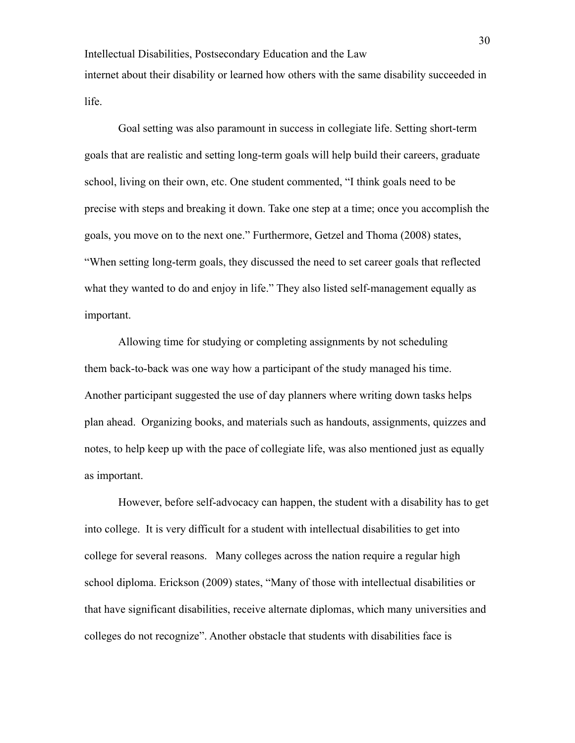Intellectual Disabilities, Postsecondary Education and the Law internet about their disability or learned how others with the same disability succeeded in life.

Goal setting was also paramount in success in collegiate life. Setting short-term goals that are realistic and setting long-term goals will help build their careers, graduate school, living on their own, etc. One student commented, "I think goals need to be precise with steps and breaking it down. Take one step at a time; once you accomplish the goals, you move on to the next one." Furthermore, Getzel and Thoma (2008) states, "When setting long-term goals, they discussed the need to set career goals that reflected what they wanted to do and enjoy in life." They also listed self-management equally as important.

Allowing time for studying or completing assignments by not scheduling them back-to-back was one way how a participant of the study managed his time. Another participant suggested the use of day planners where writing down tasks helps plan ahead. Organizing books, and materials such as handouts, assignments, quizzes and notes, to help keep up with the pace of collegiate life, was also mentioned just as equally as important.

However, before self-advocacy can happen, the student with a disability has to get into college. It is very difficult for a student with intellectual disabilities to get into college for several reasons. Many colleges across the nation require a regular high school diploma. Erickson (2009) states, "Many of those with intellectual disabilities or that have significant disabilities, receive alternate diplomas, which many universities and colleges do not recognize". Another obstacle that students with disabilities face is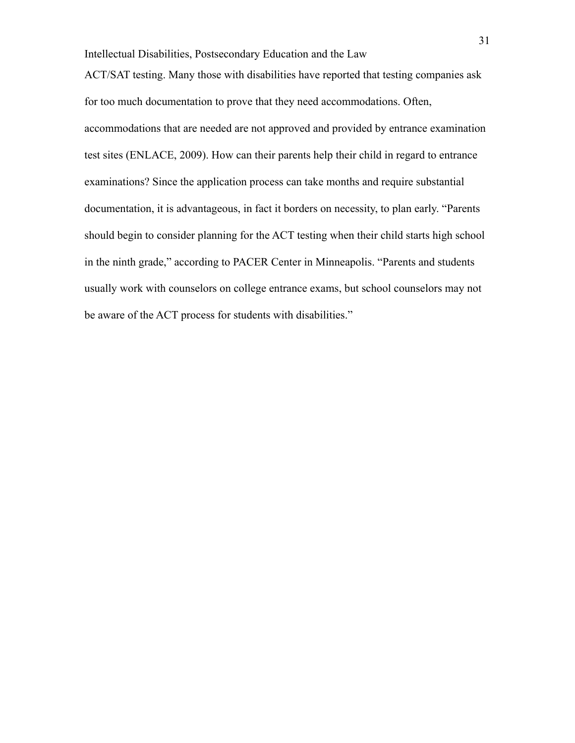ACT/SAT testing. Many those with disabilities have reported that testing companies ask for too much documentation to prove that they need accommodations. Often, accommodations that are needed are not approved and provided by entrance examination test sites (ENLACE, 2009). How can their parents help their child in regard to entrance examinations? Since the application process can take months and require substantial documentation, it is advantageous, in fact it borders on necessity, to plan early. "Parents should begin to consider planning for the ACT testing when their child starts high school in the ninth grade," according to PACER Center in Minneapolis. "Parents and students usually work with counselors on college entrance exams, but school counselors may not be aware of the ACT process for students with disabilities."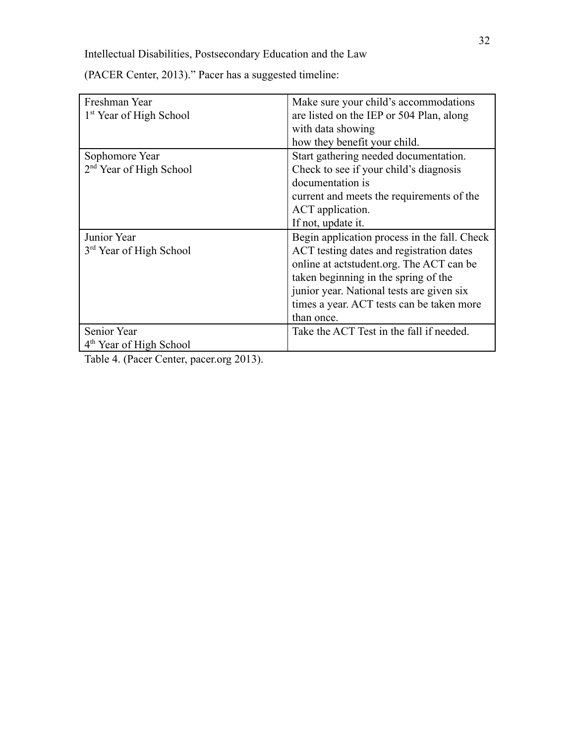| Freshman Year                       | Make sure your child's accommodations        |
|-------------------------------------|----------------------------------------------|
| 1 <sup>st</sup> Year of High School | are listed on the IEP or 504 Plan, along     |
|                                     | with data showing                            |
|                                     | how they benefit your child.                 |
| Sophomore Year                      | Start gathering needed documentation.        |
| 2 <sup>nd</sup> Year of High School | Check to see if your child's diagnosis       |
|                                     | documentation is                             |
|                                     | current and meets the requirements of the    |
|                                     | ACT application.                             |
|                                     | If not, update it.                           |
| Junior Year                         | Begin application process in the fall. Check |
| 3 <sup>rd</sup> Year of High School | ACT testing dates and registration dates     |
|                                     | online at actstudent.org. The ACT can be     |
|                                     | taken beginning in the spring of the         |
|                                     | junior year. National tests are given six    |
|                                     | times a year. ACT tests can be taken more    |
|                                     | than once.                                   |
| <b>Senior Year</b>                  | Take the ACT Test in the fall if needed.     |
| 4 <sup>th</sup> Year of High School |                                              |

(PACER Center, 2013)." Pacer has a suggested timeline:

Table 4. (Pacer Center, pacer.org 2013).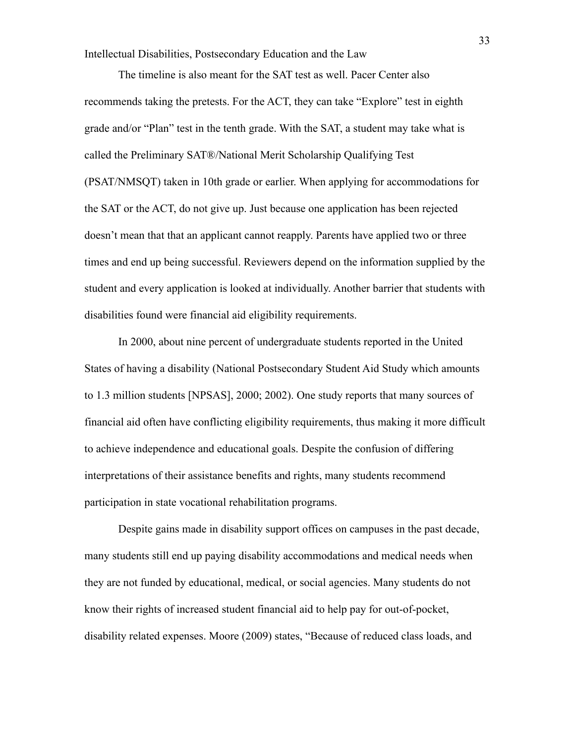The timeline is also meant for the SAT test as well. Pacer Center also recommends taking the pretests. For the ACT, they can take "Explore" test in eighth grade and/or "Plan" test in the tenth grade. With the SAT, a student may take what is called the Preliminary SAT®/National Merit Scholarship Qualifying Test (PSAT/NMSQT) taken in 10th grade or earlier. When applying for accommodations for the SAT or the ACT, do not give up. Just because one application has been rejected doesn't mean that that an applicant cannot reapply. Parents have applied two or three times and end up being successful. Reviewers depend on the information supplied by the student and every application is looked at individually. Another barrier that students with disabilities found were financial aid eligibility requirements.

In 2000, about nine percent of undergraduate students reported in the United States of having a disability (National Postsecondary Student Aid Study which amounts to 1.3 million students [NPSAS], 2000; 2002). One study reports that many sources of financial aid often have conflicting eligibility requirements, thus making it more difficult to achieve independence and educational goals. Despite the confusion of differing interpretations of their assistance benefits and rights, many students recommend participation in state vocational rehabilitation programs.

Despite gains made in disability support offices on campuses in the past decade, many students still end up paying disability accommodations and medical needs when they are not funded by educational, medical, or social agencies. Many students do not know their rights of increased student financial aid to help pay for out-of-pocket, disability related expenses. Moore (2009) states, "Because of reduced class loads, and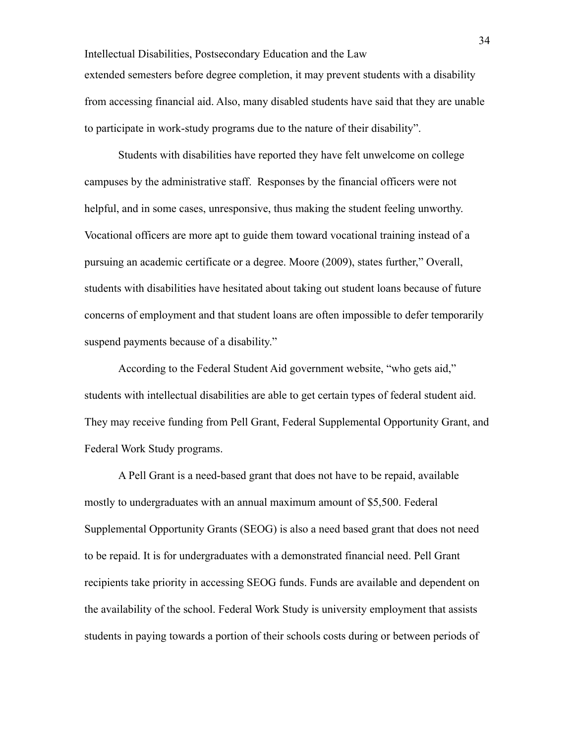Intellectual Disabilities, Postsecondary Education and the Law extended semesters before degree completion, it may prevent students with a disability from accessing financial aid. Also, many disabled students have said that they are unable to participate in work-study programs due to the nature of their disability".

Students with disabilities have reported they have felt unwelcome on college campuses by the administrative staff. Responses by the financial officers were not helpful, and in some cases, unresponsive, thus making the student feeling unworthy. Vocational officers are more apt to guide them toward vocational training instead of a pursuing an academic certificate or a degree. Moore (2009), states further," Overall, students with disabilities have hesitated about taking out student loans because of future concerns of employment and that student loans are often impossible to defer temporarily suspend payments because of a disability."

According to the Federal Student Aid government website, "who gets aid," students with intellectual disabilities are able to get certain types of federal student aid. They may receive funding from Pell Grant, Federal Supplemental Opportunity Grant, and Federal Work Study programs.

A Pell Grant is a need-based grant that does not have to be repaid, available mostly to undergraduates with an annual maximum amount of \$5,500. Federal Supplemental Opportunity Grants (SEOG) is also a need based grant that does not need to be repaid. It is for undergraduates with a demonstrated financial need. Pell Grant recipients take priority in accessing SEOG funds. Funds are available and dependent on the availability of the school. Federal Work Study is university employment that assists students in paying towards a portion of their schools costs during or between periods of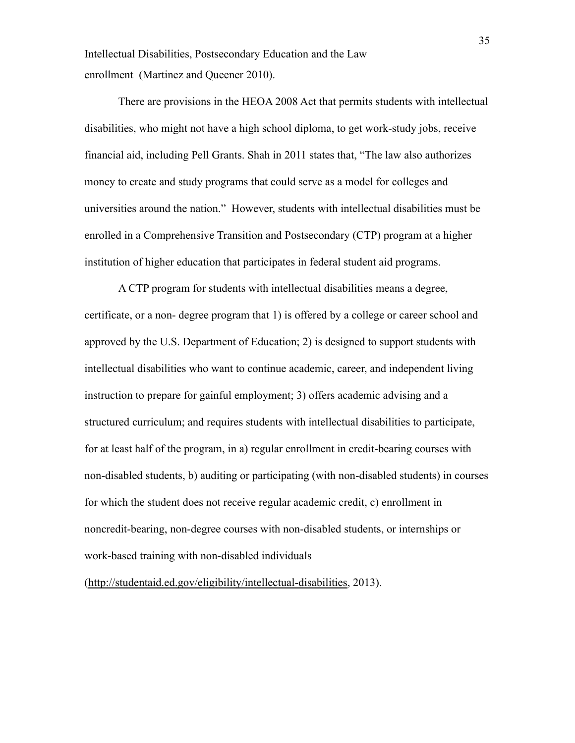Intellectual Disabilities, Postsecondary Education and the Law enrollment (Martinez and Queener 2010).

There are provisions in the HEOA 2008 Act that permits students with intellectual disabilities, who might not have a high school diploma, to get work-study jobs, receive financial aid, including Pell Grants. Shah in 2011 states that, "The law also authorizes money to create and study programs that could serve as a model for colleges and universities around the nation." However, students with intellectual disabilities must be enrolled in a Comprehensive Transition and Postsecondary (CTP) program at a higher institution of higher education that participates in federal student aid programs.

A CTP program for students with intellectual disabilities means a degree, certificate, or a non- degree program that 1) is offered by a college or career school and approved by the U.S. Department of Education; 2) is designed to support students with intellectual disabilities who want to continue academic, career, and independent living instruction to prepare for gainful employment; 3) offers academic advising and a structured curriculum; and requires students with intellectual disabilities to participate, for at least half of the program, in a) regular enrollment in credit-bearing courses with non-disabled students, b) auditing or participating (with non-disabled students) in courses for which the student does not receive regular academic credit, c) enrollment in noncredit-bearing, non-degree courses with non-disabled students, or internships or work-based training with non-disabled individuals

([http://studentaid.ed.gov/eligibility/intellectual-disabilities,](http://studentaid.ed.gov/eligibility/intellectual-disabilities) 2013).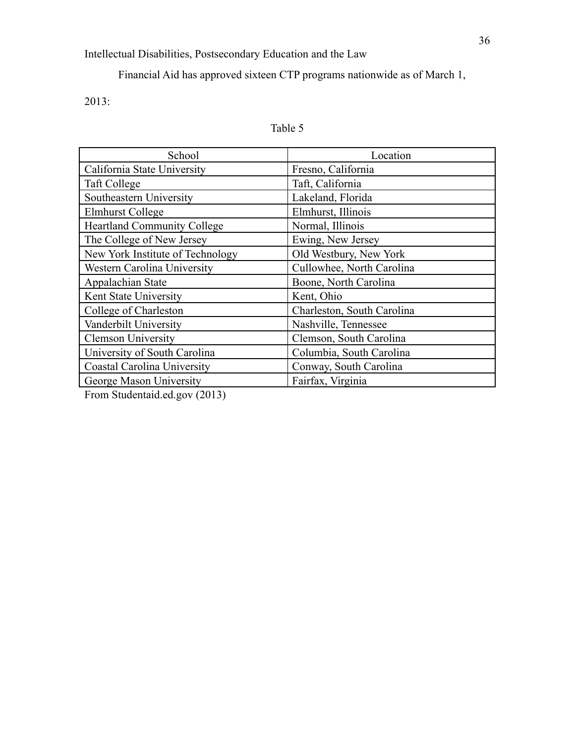Financial Aid has approved sixteen CTP programs nationwide as of March 1,

2013:

# Table 5

| School                             | Location                   |
|------------------------------------|----------------------------|
| California State University        | Fresno, California         |
| Taft College                       | Taft, California           |
| Southeastern University            | Lakeland, Florida          |
| Elmhurst College                   | Elmhurst, Illinois         |
| <b>Heartland Community College</b> | Normal, Illinois           |
| The College of New Jersey          | Ewing, New Jersey          |
| New York Institute of Technology   | Old Westbury, New York     |
| Western Carolina University        | Cullowhee, North Carolina  |
| Appalachian State                  | Boone, North Carolina      |
| Kent State University              | Kent, Ohio                 |
| College of Charleston              | Charleston, South Carolina |
| Vanderbilt University              | Nashville, Tennessee       |
| <b>Clemson University</b>          | Clemson, South Carolina    |
| University of South Carolina       | Columbia, South Carolina   |
| Coastal Carolina University        | Conway, South Carolina     |
| George Mason University            | Fairfax, Virginia          |

From Studentaid.ed.gov (2013)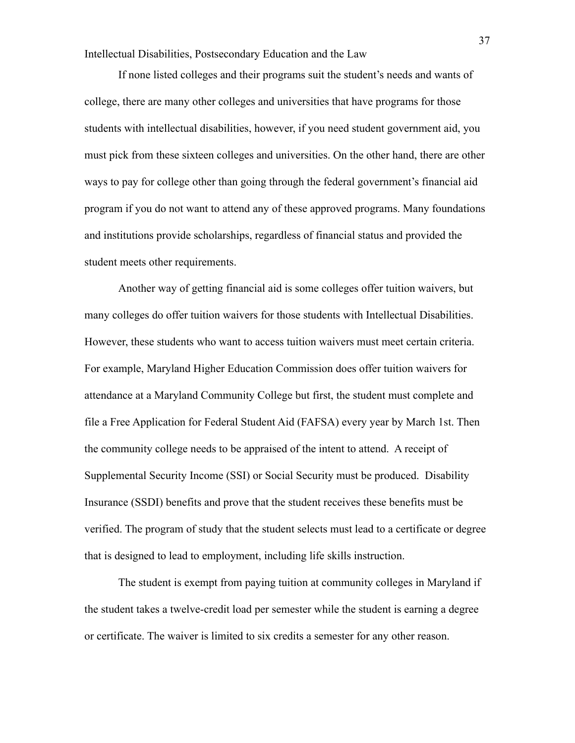If none listed colleges and their programs suit the student's needs and wants of college, there are many other colleges and universities that have programs for those students with intellectual disabilities, however, if you need student government aid, you must pick from these sixteen colleges and universities. On the other hand, there are other ways to pay for college other than going through the federal government's financial aid program if you do not want to attend any of these approved programs. Many foundations and institutions provide scholarships, regardless of financial status and provided the student meets other requirements.

Another way of getting financial aid is some colleges offer tuition waivers, but many colleges do offer tuition waivers for those students with Intellectual Disabilities. However, these students who want to access tuition waivers must meet certain criteria. For example, Maryland Higher Education Commission does offer tuition waivers for attendance at a Maryland Community College but first, the student must complete and file a Free Application for Federal Student Aid (FAFSA) every year by March 1st. Then the community college needs to be appraised of the intent to attend. A receipt of Supplemental Security Income (SSI) or Social Security must be produced. Disability Insurance (SSDI) benefits and prove that the student receives these benefits must be verified. The program of study that the student selects must lead to a certificate or degree that is designed to lead to employment, including life skills instruction.

The student is exempt from paying tuition at community colleges in Maryland if the student takes a twelve-credit load per semester while the student is earning a degree or certificate. The waiver is limited to six credits a semester for any other reason.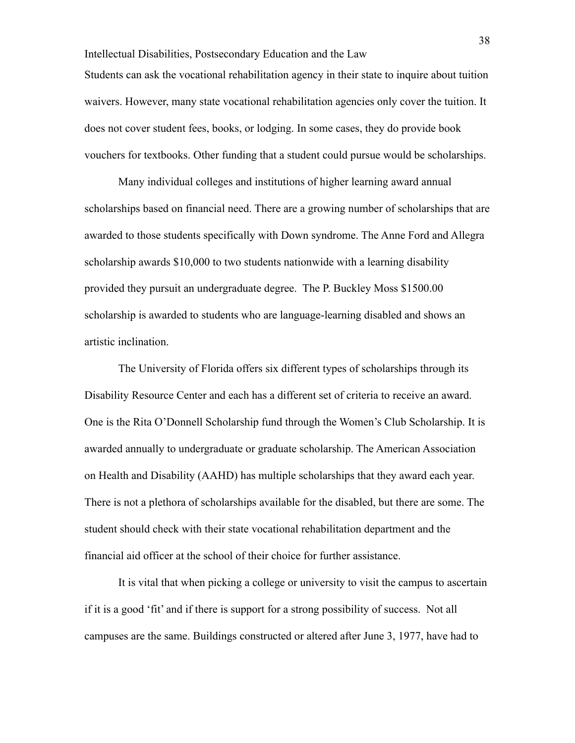Intellectual Disabilities, Postsecondary Education and the Law Students can ask the vocational rehabilitation agency in their state to inquire about tuition waivers. However, many state vocational rehabilitation agencies only cover the tuition. It does not cover student fees, books, or lodging. In some cases, they do provide book vouchers for textbooks. Other funding that a student could pursue would be scholarships.

Many individual colleges and institutions of higher learning award annual scholarships based on financial need. There are a growing number of scholarships that are awarded to those students specifically with Down syndrome. The Anne Ford and Allegra scholarship awards \$10,000 to two students nationwide with a learning disability provided they pursuit an undergraduate degree. The P. Buckley Moss \$1500.00 scholarship is awarded to students who are language-learning disabled and shows an artistic inclination.

The University of Florida offers six different types of scholarships through its Disability Resource Center and each has a different set of criteria to receive an award. One is the Rita O'Donnell Scholarship fund through the Women's Club Scholarship. It is awarded annually to undergraduate or graduate scholarship. The American Association on Health and Disability (AAHD) has multiple scholarships that they award each year. There is not a plethora of scholarships available for the disabled, but there are some. The student should check with their state vocational rehabilitation department and the financial aid officer at the school of their choice for further assistance.

It is vital that when picking a college or university to visit the campus to ascertain if it is a good 'fit' and if there is support for a strong possibility of success. Not all campuses are the same. Buildings constructed or altered after June 3, 1977, have had to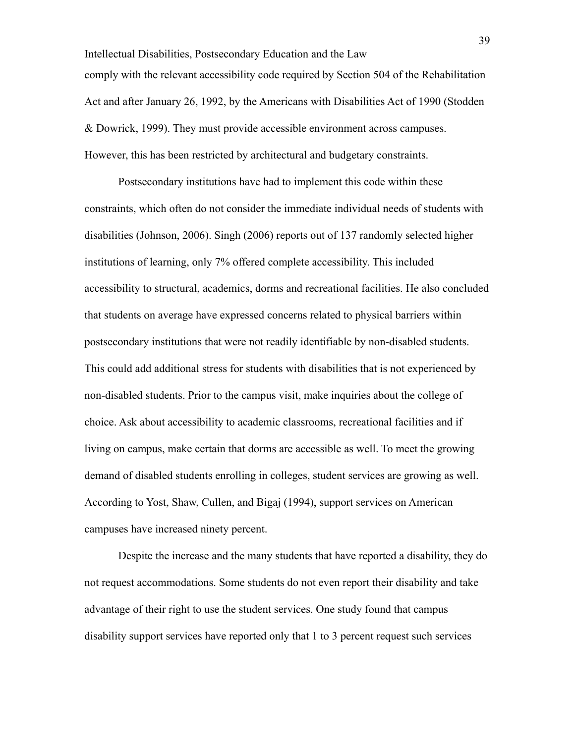Intellectual Disabilities, Postsecondary Education and the Law comply with the relevant accessibility code required by Section 504 of the Rehabilitation Act and after January 26, 1992, by the Americans with Disabilities Act of 1990 (Stodden & Dowrick, 1999). They must provide accessible environment across campuses. However, this has been restricted by architectural and budgetary constraints.

Postsecondary institutions have had to implement this code within these constraints, which often do not consider the immediate individual needs of students with disabilities (Johnson, 2006). Singh (2006) reports out of 137 randomly selected higher institutions of learning, only 7% offered complete accessibility. This included accessibility to structural, academics, dorms and recreational facilities. He also concluded that students on average have expressed concerns related to physical barriers within postsecondary institutions that were not readily identifiable by non-disabled students. This could add additional stress for students with disabilities that is not experienced by non-disabled students. Prior to the campus visit, make inquiries about the college of choice. Ask about accessibility to academic classrooms, recreational facilities and if living on campus, make certain that dorms are accessible as well. To meet the growing demand of disabled students enrolling in colleges, student services are growing as well. According to Yost, Shaw, Cullen, and Bigaj (1994), support services on American campuses have increased ninety percent.

Despite the increase and the many students that have reported a disability, they do not request accommodations. Some students do not even report their disability and take advantage of their right to use the student services. One study found that campus disability support services have reported only that 1 to 3 percent request such services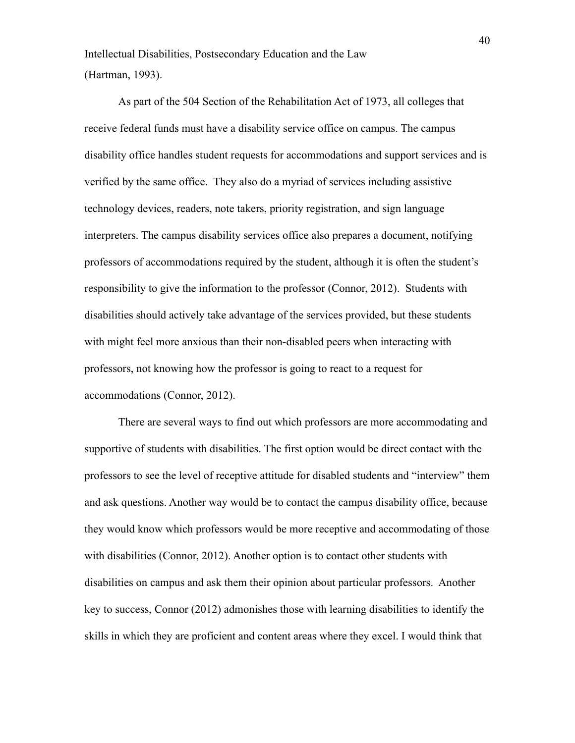Intellectual Disabilities, Postsecondary Education and the Law (Hartman, 1993).

As part of the 504 Section of the Rehabilitation Act of 1973, all colleges that receive federal funds must have a disability service office on campus. The campus disability office handles student requests for accommodations and support services and is verified by the same office. They also do a myriad of services including assistive technology devices, readers, note takers, priority registration, and sign language interpreters. The campus disability services office also prepares a document, notifying professors of accommodations required by the student, although it is often the student's responsibility to give the information to the professor (Connor, 2012). Students with disabilities should actively take advantage of the services provided, but these students with might feel more anxious than their non-disabled peers when interacting with professors, not knowing how the professor is going to react to a request for accommodations (Connor, 2012).

There are several ways to find out which professors are more accommodating and supportive of students with disabilities. The first option would be direct contact with the professors to see the level of receptive attitude for disabled students and "interview" them and ask questions. Another way would be to contact the campus disability office, because they would know which professors would be more receptive and accommodating of those with disabilities (Connor, 2012). Another option is to contact other students with disabilities on campus and ask them their opinion about particular professors. Another key to success, Connor (2012) admonishes those with learning disabilities to identify the skills in which they are proficient and content areas where they excel. I would think that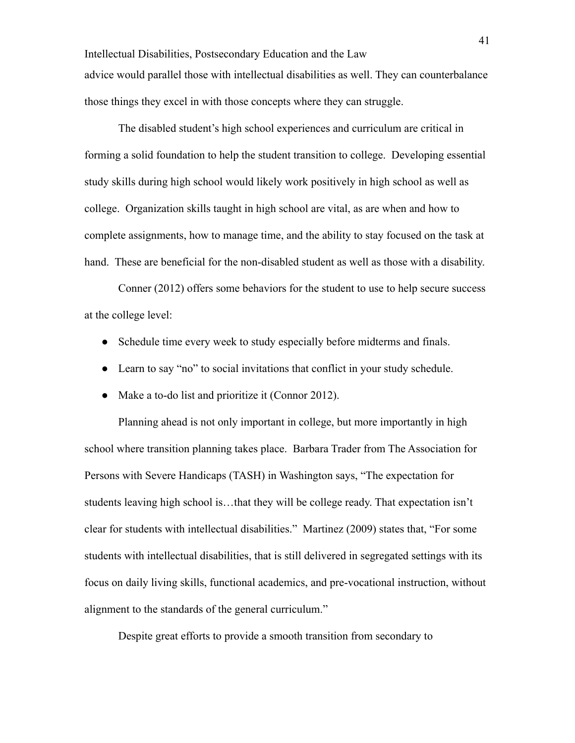Intellectual Disabilities, Postsecondary Education and the Law advice would parallel those with intellectual disabilities as well. They can counterbalance those things they excel in with those concepts where they can struggle.

The disabled student's high school experiences and curriculum are critical in forming a solid foundation to help the student transition to college. Developing essential study skills during high school would likely work positively in high school as well as college. Organization skills taught in high school are vital, as are when and how to complete assignments, how to manage time, and the ability to stay focused on the task at hand. These are beneficial for the non-disabled student as well as those with a disability.

Conner (2012) offers some behaviors for the student to use to help secure success at the college level:

- Schedule time every week to study especially before midterms and finals.
- Learn to say "no" to social invitations that conflict in your study schedule.
- Make a to-do list and prioritize it (Connor 2012).

Planning ahead is not only important in college, but more importantly in high school where transition planning takes place. Barbara Trader from The Association for Persons with Severe Handicaps (TASH) in Washington says, "The expectation for students leaving high school is…that they will be college ready. That expectation isn't clear for students with intellectual disabilities." Martinez (2009) states that, "For some students with intellectual disabilities, that is still delivered in segregated settings with its focus on daily living skills, functional academics, and pre-vocational instruction, without alignment to the standards of the general curriculum."

Despite great efforts to provide a smooth transition from secondary to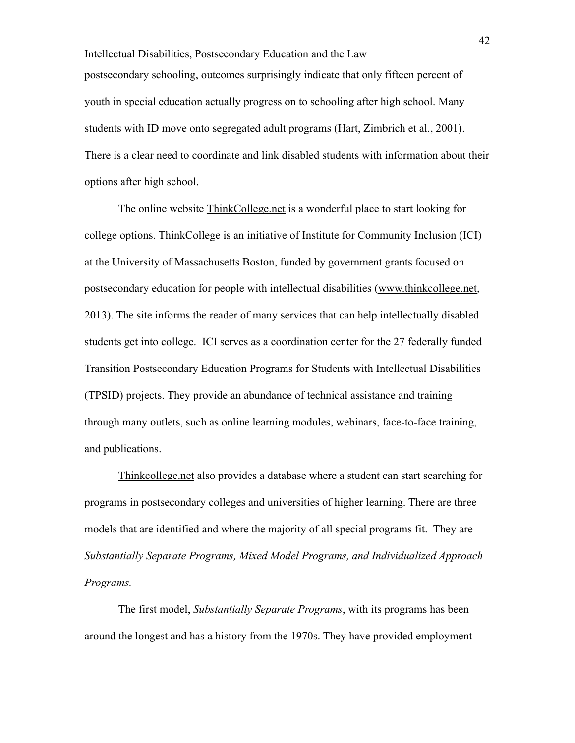Intellectual Disabilities, Postsecondary Education and the Law postsecondary schooling, outcomes surprisingly indicate that only fifteen percent of youth in special education actually progress on to schooling after high school. Many students with ID move onto segregated adult programs (Hart, Zimbrich et al., 2001). There is a clear need to coordinate and link disabled students with information about their options after high school.

The online website [ThinkCollege.net](http://thinkcollege.net/) is a wonderful place to start looking for college options. ThinkCollege is an initiative of Institute for Community Inclusion (ICI) at the University of Massachusetts Boston, funded by government grants focused on postsecondary education for people with intellectual disabilities ([www.thinkcollege.net](http://www.thinkcollege.net/), 2013). The site informs the reader of many services that can help intellectually disabled students get into college. ICI serves as a coordination center for the 27 federally funded Transition Postsecondary Education Programs for Students with Intellectual Disabilities (TPSID) projects. They provide an abundance of technical assistance and training through many outlets, such as online learning modules, webinars, face-to-face training, and publications.

[Thinkcollege.net](http://thinkcollege.net/) also provides a database where a student can start searching for programs in postsecondary colleges and universities of higher learning. There are three models that are identified and where the majority of all special programs fit. They are *Substantially Separate Programs, Mixed Model Programs, and Individualized Approach Programs.*

The first model, *Substantially Separate Programs*, with its programs has been around the longest and has a history from the 1970s. They have provided employment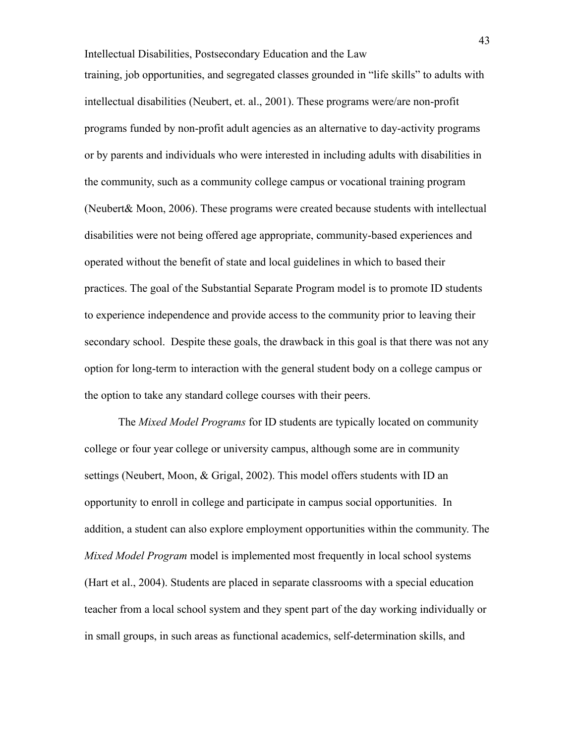Intellectual Disabilities, Postsecondary Education and the Law training, job opportunities, and segregated classes grounded in "life skills" to adults with intellectual disabilities (Neubert, et. al., 2001). These programs were/are non-profit programs funded by non-profit adult agencies as an alternative to day-activity programs or by parents and individuals who were interested in including adults with disabilities in the community, such as a community college campus or vocational training program (Neubert& Moon, 2006). These programs were created because students with intellectual disabilities were not being offered age appropriate, community-based experiences and operated without the benefit of state and local guidelines in which to based their practices. The goal of the Substantial Separate Program model is to promote ID students to experience independence and provide access to the community prior to leaving their secondary school. Despite these goals, the drawback in this goal is that there was not any option for long-term to interaction with the general student body on a college campus or the option to take any standard college courses with their peers.

The *Mixed Model Programs* for ID students are typically located on community college or four year college or university campus, although some are in community settings (Neubert, Moon, & Grigal, 2002). This model offers students with ID an opportunity to enroll in college and participate in campus social opportunities. In addition, a student can also explore employment opportunities within the community. The *Mixed Model Program* model is implemented most frequently in local school systems (Hart et al., 2004). Students are placed in separate classrooms with a special education teacher from a local school system and they spent part of the day working individually or in small groups, in such areas as functional academics, self-determination skills, and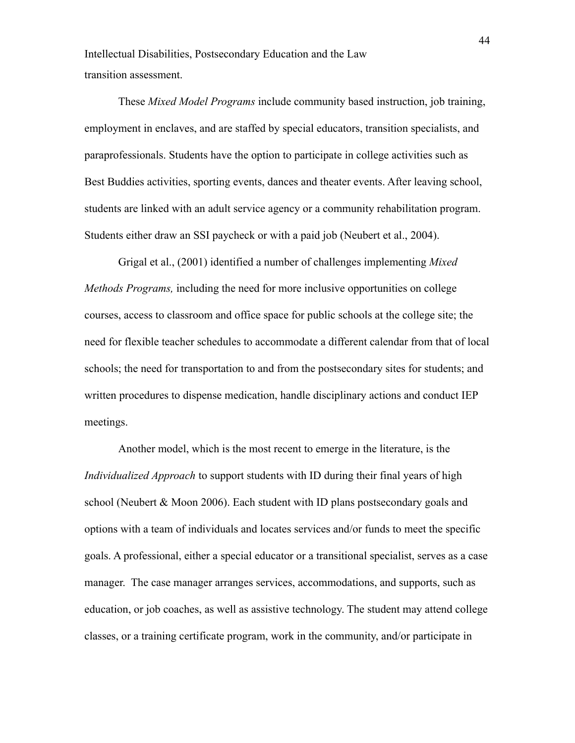Intellectual Disabilities, Postsecondary Education and the Law transition assessment.

These *Mixed Model Programs* include community based instruction, job training, employment in enclaves, and are staffed by special educators, transition specialists, and paraprofessionals. Students have the option to participate in college activities such as Best Buddies activities, sporting events, dances and theater events. After leaving school, students are linked with an adult service agency or a community rehabilitation program. Students either draw an SSI paycheck or with a paid job (Neubert et al., 2004).

Grigal et al., (2001) identified a number of challenges implementing *Mixed Methods Programs,* including the need for more inclusive opportunities on college courses, access to classroom and office space for public schools at the college site; the need for flexible teacher schedules to accommodate a different calendar from that of local schools; the need for transportation to and from the postsecondary sites for students; and written procedures to dispense medication, handle disciplinary actions and conduct IEP meetings.

Another model, which is the most recent to emerge in the literature, is the *Individualized Approach* to support students with ID during their final years of high school (Neubert & Moon 2006). Each student with ID plans postsecondary goals and options with a team of individuals and locates services and/or funds to meet the specific goals. A professional, either a special educator or a transitional specialist, serves as a case manager. The case manager arranges services, accommodations, and supports, such as education, or job coaches, as well as assistive technology. The student may attend college classes, or a training certificate program, work in the community, and/or participate in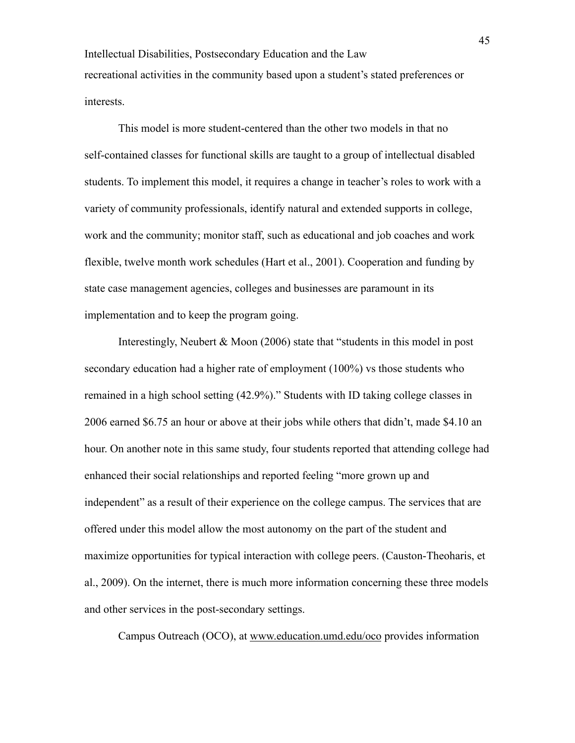Intellectual Disabilities, Postsecondary Education and the Law recreational activities in the community based upon a student's stated preferences or interests.

This model is more student-centered than the other two models in that no self-contained classes for functional skills are taught to a group of intellectual disabled students. To implement this model, it requires a change in teacher's roles to work with a variety of community professionals, identify natural and extended supports in college, work and the community; monitor staff, such as educational and job coaches and work flexible, twelve month work schedules (Hart et al., 2001). Cooperation and funding by state case management agencies, colleges and businesses are paramount in its implementation and to keep the program going.

Interestingly, Neubert & Moon (2006) state that "students in this model in post secondary education had a higher rate of employment (100%) vs those students who remained in a high school setting (42.9%)." Students with ID taking college classes in 2006 earned \$6.75 an hour or above at their jobs while others that didn't, made \$4.10 an hour. On another note in this same study, four students reported that attending college had enhanced their social relationships and reported feeling "more grown up and independent" as a result of their experience on the college campus. The services that are offered under this model allow the most autonomy on the part of the student and maximize opportunities for typical interaction with college peers. (Causton-Theoharis, et al., 2009). On the internet, there is much more information concerning these three models and other services in the post-secondary settings.

Campus Outreach (OCO), at [www.education.umd.edu/oco](http://www.education.umd.edu/oco) provides information

45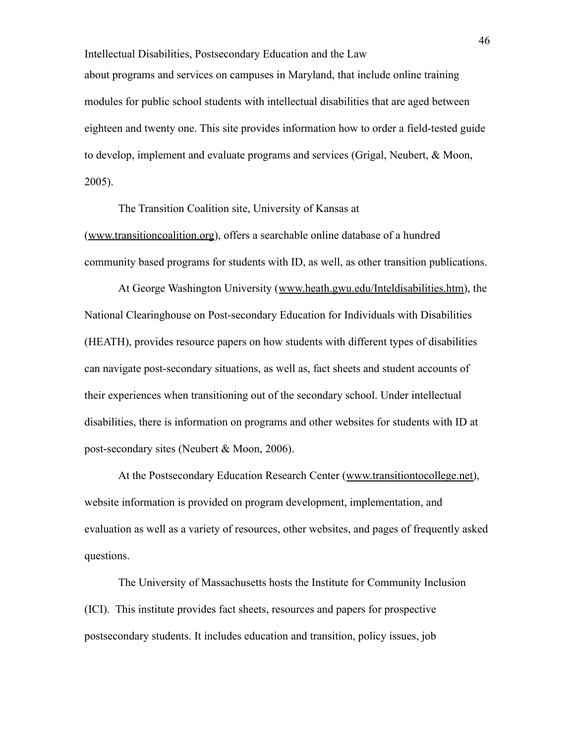Intellectual Disabilities, Postsecondary Education and the Law about programs and services on campuses in Maryland, that include online training modules for public school students with intellectual disabilities that are aged between eighteen and twenty one. This site provides information how to order a field-tested guide to develop, implement and evaluate programs and services (Grigal, Neubert, & Moon, 2005).

The Transition Coalition site, University of Kansas at ([www.transitioncoalition.org](http://www.transitioncoalition.org/)), offers a searchable online database of a hundred community based programs for students with ID, as well, as other transition publications.

At George Washington University ([www.heath.gwu.edu/Inteldisabilities.htm\)](http://www.heath.gwu.edu/Inteldisabilities.htm), the National Clearinghouse on Post-secondary Education for Individuals with Disabilities (HEATH), provides resource papers on how students with different types of disabilities can navigate post-secondary situations, as well as, fact sheets and student accounts of their experiences when transitioning out of the secondary school. Under intellectual disabilities, there is information on programs and other websites for students with ID at post-secondary sites (Neubert & Moon, 2006).

At the Postsecondary Education Research Center ([www.transitiontocollege.net\)](http://www.transitiontocollege.net/), website information is provided on program development, implementation, and evaluation as well as a variety of resources, other websites, and pages of frequently asked questions.

The University of Massachusetts hosts the Institute for Community Inclusion (ICI). This institute provides fact sheets, resources and papers for prospective postsecondary students. It includes education and transition, policy issues, job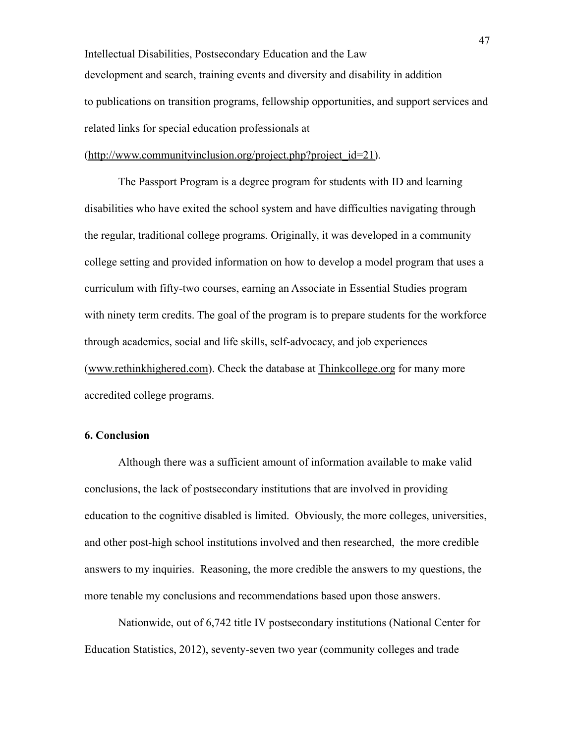Intellectual Disabilities, Postsecondary Education and the Law development and search, training events and diversity and disability in addition to publications on transition programs, fellowship opportunities, and support services and related links for special education professionals at

([http://www.communityinclusion.org/project.php?project\\_id=21\)](http://www.communityinclusion.org/project.php?project_id=21).

The Passport Program is a degree program for students with ID and learning disabilities who have exited the school system and have difficulties navigating through the regular, traditional college programs. Originally, it was developed in a community college setting and provided information on how to develop a model program that uses a curriculum with fifty-two courses, earning an Associate in Essential Studies program with ninety term credits. The goal of the program is to prepare students for the workforce through academics, social and life skills, self-advocacy, and job experiences ([www.rethinkhighered.com\)](http://www.rethinkhighered.com/). Check the database at [Thinkcollege.org](http://thinkcollege.org/) for many more accredited college programs.

### **6. Conclusion**

Although there was a sufficient amount of information available to make valid conclusions, the lack of postsecondary institutions that are involved in providing education to the cognitive disabled is limited. Obviously, the more colleges, universities, and other post-high school institutions involved and then researched, the more credible answers to my inquiries. Reasoning, the more credible the answers to my questions, the more tenable my conclusions and recommendations based upon those answers.

Nationwide, out of 6,742 title IV postsecondary institutions (National Center for Education Statistics, 2012), seventy-seven two year (community colleges and trade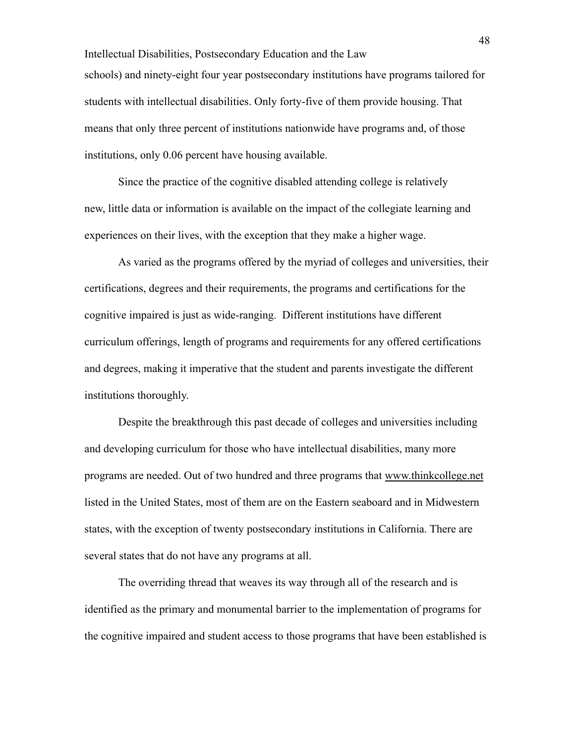Intellectual Disabilities, Postsecondary Education and the Law schools) and ninety-eight four year postsecondary institutions have programs tailored for students with intellectual disabilities. Only forty-five of them provide housing. That means that only three percent of institutions nationwide have programs and, of those institutions, only 0.06 percent have housing available.

Since the practice of the cognitive disabled attending college is relatively new, little data or information is available on the impact of the collegiate learning and experiences on their lives, with the exception that they make a higher wage.

As varied as the programs offered by the myriad of colleges and universities, their certifications, degrees and their requirements, the programs and certifications for the cognitive impaired is just as wide-ranging. Different institutions have different curriculum offerings, length of programs and requirements for any offered certifications and degrees, making it imperative that the student and parents investigate the different institutions thoroughly.

Despite the breakthrough this past decade of colleges and universities including and developing curriculum for those who have intellectual disabilities, many more programs are needed. Out of two hundred and three programs that [www.thinkcollege.net](http://www.thinkcollege.net/) listed in the United States, most of them are on the Eastern seaboard and in Midwestern states, with the exception of twenty postsecondary institutions in California. There are several states that do not have any programs at all.

The overriding thread that weaves its way through all of the research and is identified as the primary and monumental barrier to the implementation of programs for the cognitive impaired and student access to those programs that have been established is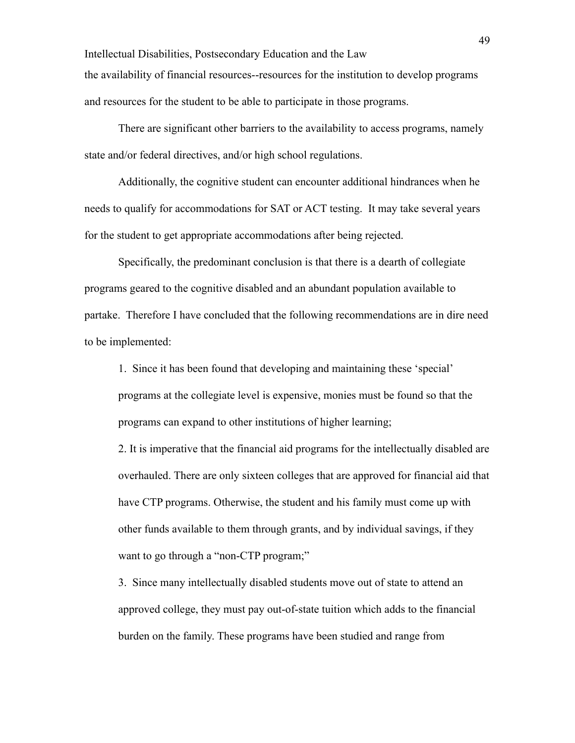Intellectual Disabilities, Postsecondary Education and the Law the availability of financial resources--resources for the institution to develop programs and resources for the student to be able to participate in those programs.

There are significant other barriers to the availability to access programs, namely state and/or federal directives, and/or high school regulations.

Additionally, the cognitive student can encounter additional hindrances when he needs to qualify for accommodations for SAT or ACT testing. It may take several years for the student to get appropriate accommodations after being rejected.

Specifically, the predominant conclusion is that there is a dearth of collegiate programs geared to the cognitive disabled and an abundant population available to partake. Therefore I have concluded that the following recommendations are in dire need to be implemented:

1. Since it has been found that developing and maintaining these 'special' programs at the collegiate level is expensive, monies must be found so that the programs can expand to other institutions of higher learning;

2. It is imperative that the financial aid programs for the intellectually disabled are overhauled. There are only sixteen colleges that are approved for financial aid that have CTP programs. Otherwise, the student and his family must come up with other funds available to them through grants, and by individual savings, if they want to go through a "non-CTP program;"

3. Since many intellectually disabled students move out of state to attend an approved college, they must pay out-of-state tuition which adds to the financial burden on the family. These programs have been studied and range from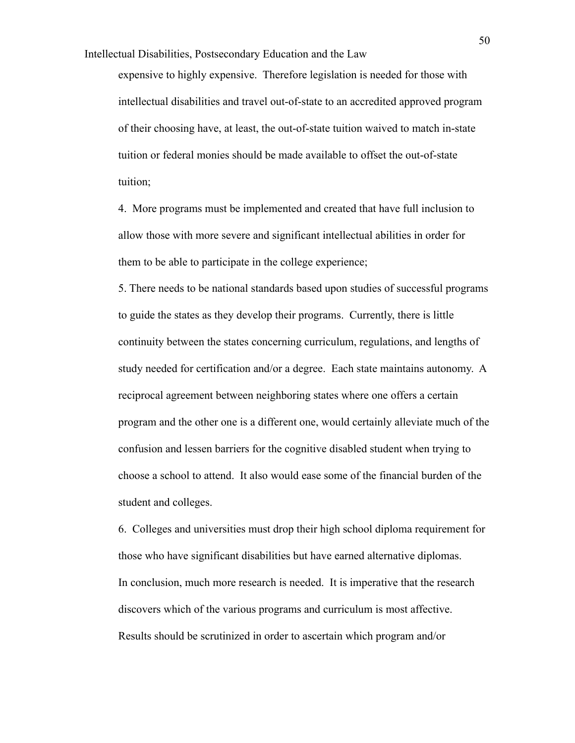expensive to highly expensive. Therefore legislation is needed for those with intellectual disabilities and travel out-of-state to an accredited approved program of their choosing have, at least, the out-of-state tuition waived to match in-state tuition or federal monies should be made available to offset the out-of-state tuition;

4. More programs must be implemented and created that have full inclusion to allow those with more severe and significant intellectual abilities in order for them to be able to participate in the college experience;

5. There needs to be national standards based upon studies of successful programs to guide the states as they develop their programs. Currently, there is little continuity between the states concerning curriculum, regulations, and lengths of study needed for certification and/or a degree. Each state maintains autonomy. A reciprocal agreement between neighboring states where one offers a certain program and the other one is a different one, would certainly alleviate much of the confusion and lessen barriers for the cognitive disabled student when trying to choose a school to attend. It also would ease some of the financial burden of the student and colleges.

6. Colleges and universities must drop their high school diploma requirement for those who have significant disabilities but have earned alternative diplomas. In conclusion, much more research is needed. It is imperative that the research discovers which of the various programs and curriculum is most affective. Results should be scrutinized in order to ascertain which program and/or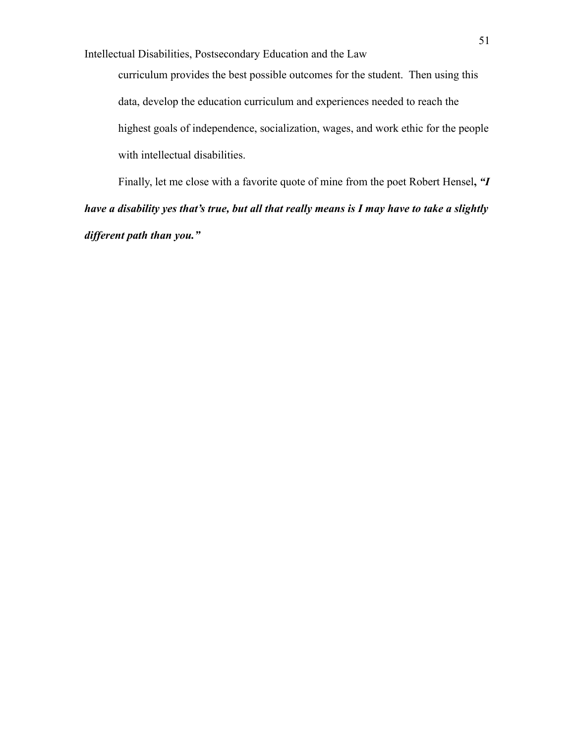curriculum provides the best possible outcomes for the student. Then using this data, develop the education curriculum and experiences needed to reach the highest goals of independence, socialization, wages, and work ethic for the people with intellectual disabilities.

Finally, let me close with a favorite quote of mine from the poet Robert Hensel**,** *"I have a disability yes that's true, but all that really means is I may have to take a slightly different path than you."*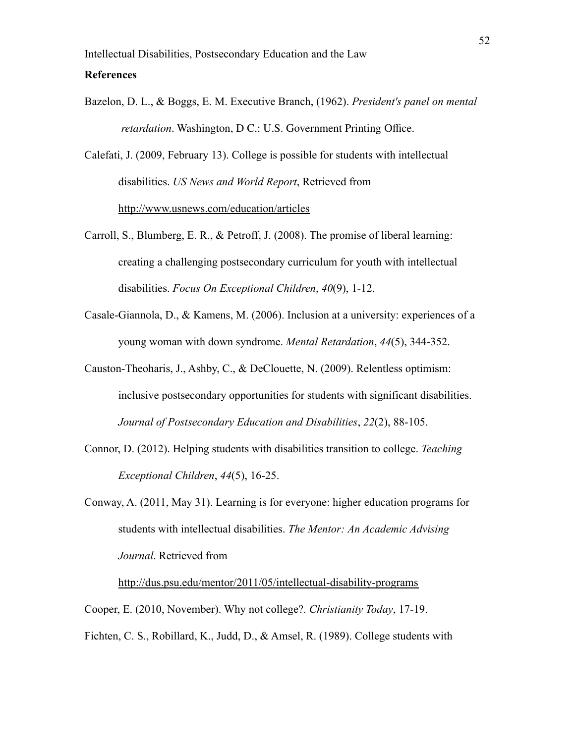## **References**

Bazelon, D. L., & Boggs, E. M. Executive Branch, (1962). *President's panel on mental retardation*. Washington, D C.: U.S. Government Printing Office.

Calefati, J. (2009, February 13). College is possible for students with intellectual disabilities. *US News and World Report*, Retrieved from <http://www.usnews.com/education/articles>

- Carroll, S., Blumberg, E. R., & Petroff, J. (2008). The promise of liberal learning: creating a challenging postsecondary curriculum for youth with intellectual disabilities. *Focus On Exceptional Children*, *40*(9), 1-12.
- Casale-Giannola, D., & Kamens, M. (2006). Inclusion at a university: experiences of a young woman with down syndrome. *Mental Retardation*, *44*(5), 344-352.
- Causton-Theoharis, J., Ashby, C., & DeClouette, N. (2009). Relentless optimism: inclusive postsecondary opportunities for students with significant disabilities. *Journal of Postsecondary Education and Disabilities*, *22*(2), 88-105.
- Connor, D. (2012). Helping students with disabilities transition to college. *Teaching Exceptional Children*, *44*(5), 16-25.
- Conway, A. (2011, May 31). Learning is for everyone: higher education programs for students with intellectual disabilities. *The Mentor: An Academic Advising Journal*. Retrieved from

<http://dus.psu.edu/mentor/2011/05/intellectual-disability-programs>

Cooper, E. (2010, November). Why not college?. *Christianity Today*, 17-19.

Fichten, C. S., Robillard, K., Judd, D., & Amsel, R. (1989). College students with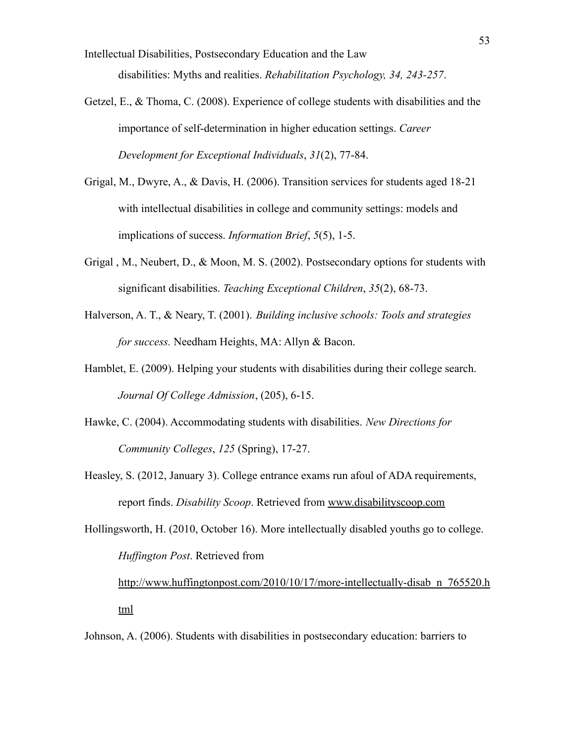Intellectual Disabilities, Postsecondary Education and the Law disabilities: Myths and realities. *Rehabilitation Psychology, 34, 243-257*.

- Getzel, E., & Thoma, C. (2008). Experience of college students with disabilities and the importance of self-determination in higher education settings. *Career Development for Exceptional Individuals*, *31*(2), 77-84.
- Grigal, M., Dwyre, A., & Davis, H. (2006). Transition services for students aged 18-21 with intellectual disabilities in college and community settings: models and implications of success. *Information Brief*, *5*(5), 1-5.
- Grigal , M., Neubert, D., & Moon, M. S. (2002). Postsecondary options for students with significant disabilities. *Teaching Exceptional Children*, *35*(2), 68-73.
- Halverson, A. T., & Neary, T. (2001). *Building inclusive schools: Tools and strategies for success.* Needham Heights, MA: Allyn & Bacon.
- Hamblet, E. (2009). Helping your students with disabilities during their college search. *Journal Of College Admission*, (205), 6-15.
- Hawke, C. (2004). Accommodating students with disabilities. *New Directions for Community Colleges*, *125* (Spring), 17-27.
- Heasley, S. (2012, January 3). College entrance exams run afoul of ADA requirements, report finds. *Disability Scoop*. Retrieved from [www.disabilityscoop.com](http://www.disabilityscoop.com)
- Hollingsworth, H. (2010, October 16). More intellectually disabled youths go to college. *Huffington Post*. Retrieved from

[http://www.huffingtonpost.com/2010/10/17/more-intellectually-disab\\_n\\_765520.h](http://www.huffingtonpost.com/2010/10/17/more-intellectually-disab_n_765520.html) [tml](http://www.huffingtonpost.com/2010/10/17/more-intellectually-disab_n_765520.html)

Johnson, A. (2006). Students with disabilities in postsecondary education: barriers to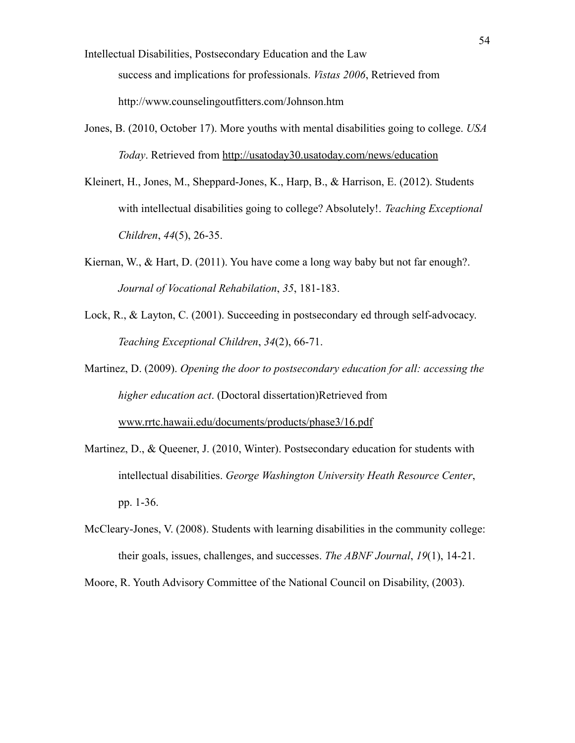- Intellectual Disabilities, Postsecondary Education and the Law success and implications for professionals. *Vistas 2006*, Retrieved from http://www.counselingoutfitters.com/Johnson.htm
- Jones, B. (2010, October 17). More youths with mental disabilities going to college. *USA Today*. Retrieved from <http://usatoday30.usatoday.com/news/education>
- Kleinert, H., Jones, M., Sheppard-Jones, K., Harp, B., & Harrison, E. (2012). Students with intellectual disabilities going to college? Absolutely!. *Teaching Exceptional Children*, *44*(5), 26-35.
- Kiernan, W., & Hart, D. (2011). You have come a long way baby but not far enough?. *Journal of Vocational Rehabilation*, *35*, 181-183.
- Lock, R., & Layton, C. (2001). Succeeding in postsecondary ed through self-advocacy. *Teaching Exceptional Children*, *34*(2), 66-71.
- Martinez, D. (2009). *Opening the door to postsecondary education for all: accessing the higher education act*. (Doctoral dissertation)Retrieved from [www.rrtc.hawaii.edu/documents/products/phase3/16.pdf](http://www.rrtc.hawaii.edu/documents/products/phase3/16.pdf)
- Martinez, D., & Queener, J. (2010, Winter). Postsecondary education for students with intellectual disabilities. *George Washington University Heath Resource Center*, pp. 1-36.
- McCleary-Jones, V. (2008). Students with learning disabilities in the community college: their goals, issues, challenges, and successes. *The ABNF Journal*, *19*(1), 14-21.

Moore, R. Youth Advisory Committee of the National Council on Disability, (2003).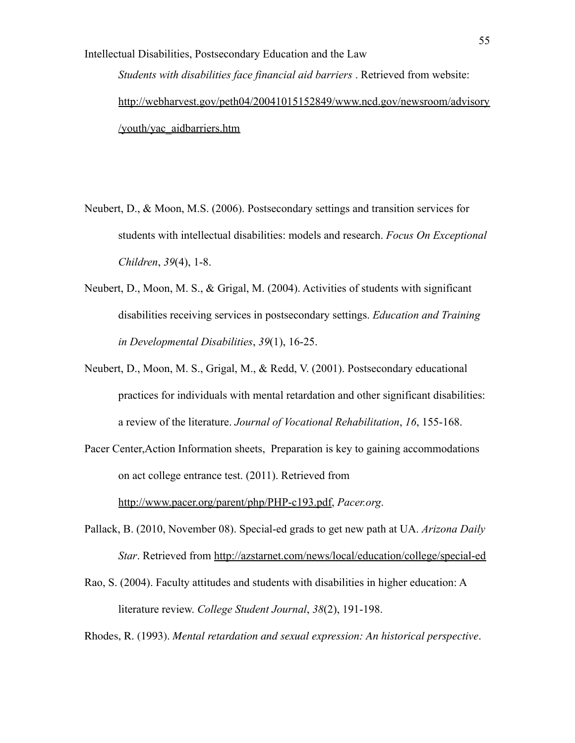Intellectual Disabilities, Postsecondary Education and the Law *Students with disabilities face financial aid barriers* . Retrieved from website: [http://webharvest.gov/peth04/20041015152849/www.ncd.gov/newsroom/advisory](http://webharvest.gov/peth04/20041015152849/www.ncd.gov/newsroom/advisory/youth/yac_aidbarriers.htm) [/youth/yac\\_aidbarriers.htm](http://webharvest.gov/peth04/20041015152849/www.ncd.gov/newsroom/advisory/youth/yac_aidbarriers.htm)

- Neubert, D., & Moon, M.S. (2006). Postsecondary settings and transition services for students with intellectual disabilities: models and research. *Focus On Exceptional Children*, *39*(4), 1-8.
- Neubert, D., Moon, M. S., & Grigal, M. (2004). Activities of students with significant disabilities receiving services in postsecondary settings. *Education and Training in Developmental Disabilities*, *39*(1), 16-25.
- Neubert, D., Moon, M. S., Grigal, M., & Redd, V. (2001). Postsecondary educational practices for individuals with mental retardation and other significant disabilities: a review of the literature. *Journal of Vocational Rehabilitation*, *16*, 155-168.

Pacer Center,Action Information sheets, Preparation is key to gaining accommodations on act college entrance test. (2011). Retrieved from <http://www.pacer.org/parent/php/PHP-c193.pdf>, *Pacer.org*.

- Pallack, B. (2010, November 08). Special-ed grads to get new path at UA. *Arizona Daily Star*. Retrieved from <http://azstarnet.com/news/local/education/college/special-ed>
- Rao, S. (2004). Faculty attitudes and students with disabilities in higher education: A literature review. *College Student Journal*, *38*(2), 191-198.

Rhodes, R. (1993). *Mental retardation and sexual expression: An historical perspective*.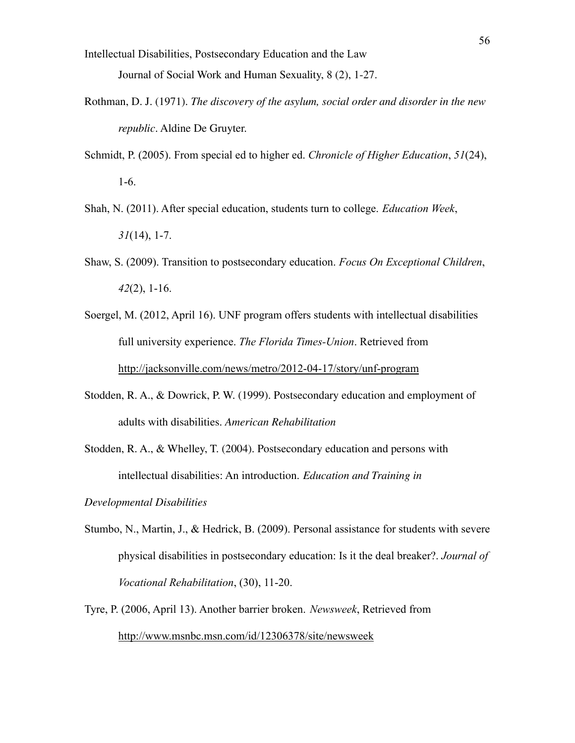- Intellectual Disabilities, Postsecondary Education and the Law Journal of Social Work and Human Sexuality, 8 (2), 1-27.
- Rothman, D. J. (1971). *The discovery of the asylum, social order and disorder in the new republic*. Aldine De Gruyter.
- Schmidt, P. (2005). From special ed to higher ed. *Chronicle of Higher Education*, *51*(24), 1-6.
- Shah, N. (2011). After special education, students turn to college. *Education Week*, *31*(14), 1-7.
- Shaw, S. (2009). Transition to postsecondary education. *Focus On Exceptional Children*, *42*(2), 1-16.
- Soergel, M. (2012, April 16). UNF program offers students with intellectual disabilities full university experience. *The Florida Times-Union*. Retrieved from <http://jacksonville.com/news/metro/2012-04-17/story/unf-program>
- Stodden, R. A., & Dowrick, P. W. (1999). Postsecondary education and employment of adults with disabilities. *American Rehabilitation*

Stodden, R. A., & Whelley, T. (2004). Postsecondary education and persons with intellectual disabilities: An introduction. *Education and Training in*

*Developmental Disabilities*

- Stumbo, N., Martin, J., & Hedrick, B. (2009). Personal assistance for students with severe physical disabilities in postsecondary education: Is it the deal breaker?. *Journal of Vocational Rehabilitation*, (30), 11-20.
- Tyre, P. (2006, April 13). Another barrier broken. *Newsweek*, Retrieved from <http://www.msnbc.msn.com/id/12306378/site/newsweek>